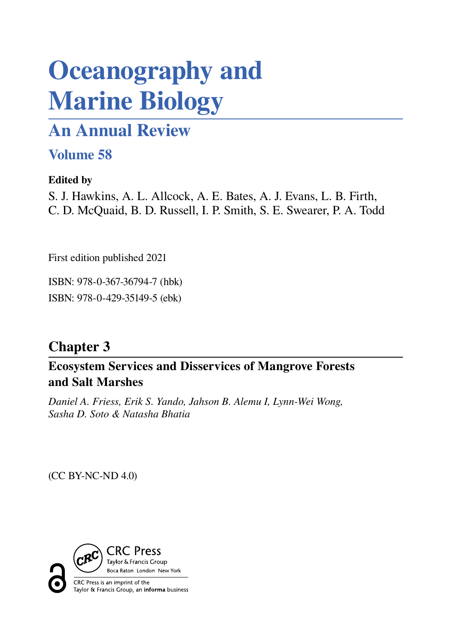# **Oceanography and Marine Biology**

# **An Annual Review**

# **Volume 58**

# **Edited by**

S. J. Hawkins, A. L. Allcock, A. E. Bates, A. J. Evans, L. B. Firth, C. D. McQuaid, B. D. Russell, I. P. Smith, S. E. Swearer, P. A. Todd

First edition published 2021

ISBN: 978-0-367-36794-7 (hbk) ISBN: 978-0-429-35149-5 (ebk)

# **Chapter 3**

**Ecosystem Services and Disservices of Mangrove Forests and Salt Marshes**

*Daniel A. Friess, Erik S. Yando, Jahson B. Alemu I, Lynn-Wei Wong, Sasha D. Soto & Natasha Bhatia*

(CC BY-NC-ND 4.0)

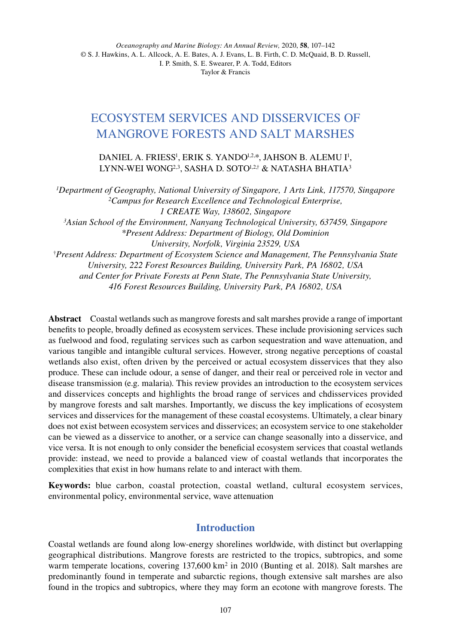# ECOSYSTEM SERVICES AND DISSERVICES OF MANGROVE FORESTS AND SALT MARSHES

DANIEL A. FRIESS<sup>1</sup>, ERIK S. YANDO<sup>1,2,\*</sup>, JAHSON B. ALEMU I<sup>1</sup>, LYNN-WEI WONG<sup>2,3</sup>, SASHA D. SOTO<sup>1,2,†</sup> & NATASHA BHATIA<sup>3</sup>

*1Department of Geography, National University of Singapore, 1 Arts Link, 117570, Singapore 2Campus for Research Excellence and Technological Enterprise, 1 CREATE Way, 138602, Singapore 3Asian School of the Environment, Nanyang Technological University, 637459, Singapore* \**Present Address: Department of Biology, Old Dominion University, Norfolk, Virginia 23529, USA* †*Present Address: Department of Ecosystem Science and Management, The Pennsylvania State University, 222 Forest Resources Building, University Park, PA 16802, USA and Center for Private Forests at Penn State, The Pennsylvania State University, 416 Forest Resources Building, University Park, PA 16802, USA*

**Abstract** Coastal wetlands such as mangrove forests and salt marshes provide a range of important benefits to people, broadly defined as ecosystem services. These include provisioning services such as fuelwood and food, regulating services such as carbon sequestration and wave attenuation, and various tangible and intangible cultural services. However, strong negative perceptions of coastal wetlands also exist, often driven by the perceived or actual ecosystem disservices that they also produce. These can include odour, a sense of danger, and their real or perceived role in vector and disease transmission (e.g. malaria). This review provides an introduction to the ecosystem services and disservices concepts and highlights the broad range of services and chdisservices provided by mangrove forests and salt marshes. Importantly, we discuss the key implications of ecosystem services and disservices for the management of these coastal ecosystems. Ultimately, a clear binary does not exist between ecosystem services and disservices; an ecosystem service to one stakeholder can be viewed as a disservice to another, or a service can change seasonally into a disservice, and vice versa*.* It is not enough to only consider the beneficial ecosystem services that coastal wetlands provide: instead, we need to provide a balanced view of coastal wetlands that incorporates the complexities that exist in how humans relate to and interact with them.

**Keywords:** blue carbon, coastal protection, coastal wetland, cultural ecosystem services, environmental policy, environmental service, wave attenuation

## **Introduction**

Coastal wetlands are found along low-energy shorelines worldwide, with distinct but overlapping geographical distributions. Mangrove forests are restricted to the tropics, subtropics, and some warm temperate locations, covering 137,600 km<sup>2</sup> in 2010 (Bunting et al. 2018). Salt marshes are predominantly found in temperate and subarctic regions, though extensive salt marshes are also found in the tropics and subtropics, where they may form an ecotone with mangrove forests. The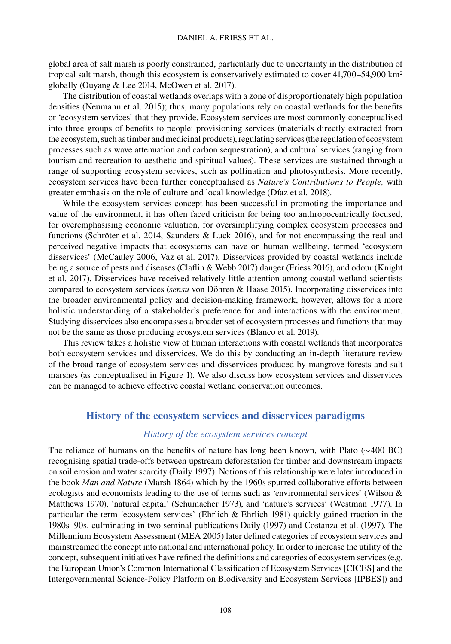global area of salt marsh is poorly constrained, particularly due to uncertainty in the distribution of tropical salt marsh, though this ecosystem is conservatively estimated to cover 41,700–54,900 km<sup>2</sup> globally (Ouyang & Lee 2014, McOwen et al. 2017).

The distribution of coastal wetlands overlaps with a zone of disproportionately high population densities (Neumann et al. 2015); thus, many populations rely on coastal wetlands for the benefits or 'ecosystem services' that they provide. Ecosystem services are most commonly conceptualised into three groups of benefits to people: provisioning services (materials directly extracted from the ecosystem, such as timber and medicinal products), regulating services (the regulation of ecosystem processes such as wave attenuation and carbon sequestration), and cultural services (ranging from tourism and recreation to aesthetic and spiritual values). These services are sustained through a range of supporting ecosystem services, such as pollination and photosynthesis. More recently, ecosystem services have been further conceptualised as *Nature's Contributions to People,* with greater emphasis on the role of culture and local knowledge (Díaz et al. 2018).

While the ecosystem services concept has been successful in promoting the importance and value of the environment, it has often faced criticism for being too anthropocentrically focused, for overemphasising economic valuation, for oversimplifying complex ecosystem processes and functions (Schröter et al. 2014, Saunders & Luck 2016), and for not encompassing the real and perceived negative impacts that ecosystems can have on human wellbeing, termed 'ecosystem disservices' (McCauley 2006, Vaz et al. 2017). Disservices provided by coastal wetlands include being a source of pests and diseases (Claflin & Webb 2017) danger (Friess 2016), and odour (Knight et al. 2017). Disservices have received relatively little attention among coastal wetland scientists compared to ecosystem services (*sensu* von Döhren & Haase 2015). Incorporating disservices into the broader environmental policy and decision-making framework, however, allows for a more holistic understanding of a stakeholder's preference for and interactions with the environment. Studying disservices also encompasses a broader set of ecosystem processes and functions that may not be the same as those producing ecosystem services (Blanco et al. 2019).

This review takes a holistic view of human interactions with coastal wetlands that incorporates both ecosystem services and disservices. We do this by conducting an in-depth literature review of the broad range of ecosystem services and disservices produced by mangrove forests and salt marshes (as conceptualised in Figure 1). We also discuss how ecosystem services and disservices can be managed to achieve effective coastal wetland conservation outcomes.

#### **History of the ecosystem services and disservices paradigms**

#### *History of the ecosystem services concept*

The reliance of humans on the benefits of nature has long been known, with Plato (∼400 BC) recognising spatial trade-offs between upstream deforestation for timber and downstream impacts on soil erosion and water scarcity (Daily 1997). Notions of this relationship were later introduced in the book *Man and Nature* (Marsh 1864) which by the 1960s spurred collaborative efforts between ecologists and economists leading to the use of terms such as 'environmental services' (Wilson & Matthews 1970), 'natural capital' (Schumacher 1973), and 'nature's services' (Westman 1977). In particular the term 'ecosystem services' (Ehrlich & Ehrlich 1981) quickly gained traction in the 1980s–90s, culminating in two seminal publications Daily (1997) and Costanza et al. (1997). The Millennium Ecosystem Assessment (MEA 2005) later defined categories of ecosystem services and mainstreamed the concept into national and international policy. In order to increase the utility of the concept, subsequent initiatives have refined the definitions and categories of ecosystem services (e.g. the European Union's Common International Classification of Ecosystem Services [CICES] and the Intergovernmental Science-Policy Platform on Biodiversity and Ecosystem Services [IPBES]) and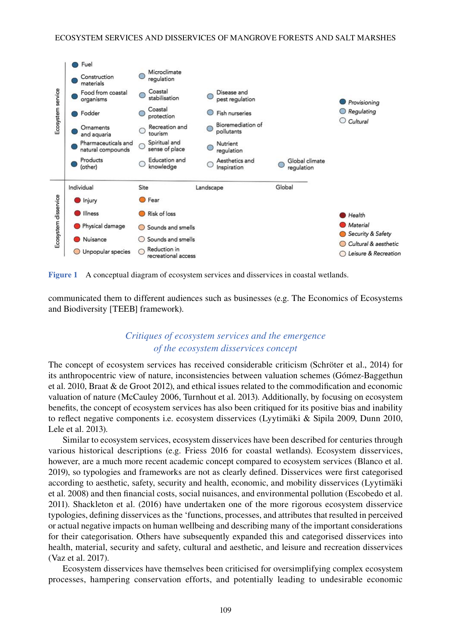

**Figure 1** A conceptual diagram of ecosystem services and disservices in coastal wetlands.

communicated them to different audiences such as businesses (e.g. The Economics of Ecosystems and Biodiversity [TEEB] framework).

## *Critiques of ecosystem services and the emergence of the ecosystem disservices concept*

The concept of ecosystem services has received considerable criticism (Schröter et al., 2014) for its anthropocentric view of nature, inconsistencies between valuation schemes (Gómez-Baggethun et al. 2010, Braat & de Groot 2012), and ethical issues related to the commodification and economic valuation of nature (McCauley 2006, Turnhout et al. 2013). Additionally, by focusing on ecosystem benefits, the concept of ecosystem services has also been critiqued for its positive bias and inability to reflect negative components i.e. ecosystem disservices (Lyytimäki & Sipila 2009, Dunn 2010, Lele et al. 2013).

Similar to ecosystem services, ecosystem disservices have been described for centuries through various historical descriptions (e.g. Friess 2016 for coastal wetlands). Ecosystem disservices, however, are a much more recent academic concept compared to ecosystem services (Blanco et al. 2019), so typologies and frameworks are not as clearly defined. Disservices were first categorised according to aesthetic, safety, security and health, economic, and mobility disservices (Lyytimäki et al. 2008) and then financial costs, social nuisances, and environmental pollution (Escobedo et al. 2011). Shackleton et al. (2016) have undertaken one of the more rigorous ecosystem disservice typologies, defining disservices as the 'functions, processes, and attributes that resulted in perceived or actual negative impacts on human wellbeing and describing many of the important considerations for their categorisation. Others have subsequently expanded this and categorised disservices into health, material, security and safety, cultural and aesthetic, and leisure and recreation disservices (Vaz et al. 2017).

Ecosystem disservices have themselves been criticised for oversimplifying complex ecosystem processes, hampering conservation efforts, and potentially leading to undesirable economic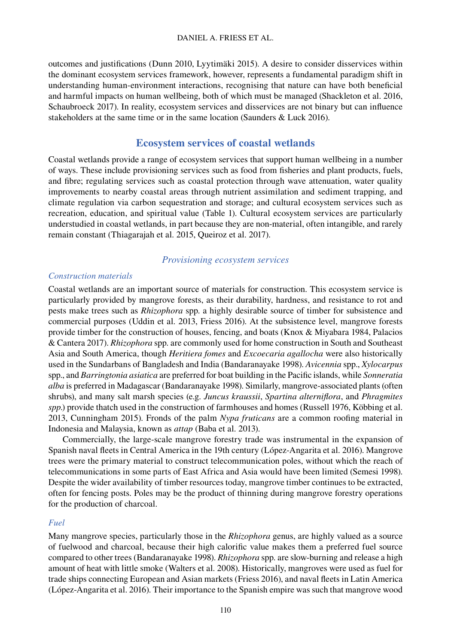#### DANIEL A. FRIESS ET AL.

outcomes and justifications (Dunn 2010, Lyytimäki 2015). A desire to consider disservices within the dominant ecosystem services framework, however, represents a fundamental paradigm shift in understanding human-environment interactions, recognising that nature can have both beneficial and harmful impacts on human wellbeing, both of which must be managed (Shackleton et al. 2016, Schaubroeck 2017). In reality, ecosystem services and disservices are not binary but can influence stakeholders at the same time or in the same location (Saunders & Luck 2016).

### **Ecosystem services of coastal wetlands**

Coastal wetlands provide a range of ecosystem services that support human wellbeing in a number of ways. These include provisioning services such as food from fisheries and plant products, fuels, and fibre; regulating services such as coastal protection through wave attenuation, water quality improvements to nearby coastal areas through nutrient assimilation and sediment trapping, and climate regulation via carbon sequestration and storage; and cultural ecosystem services such as recreation, education, and spiritual value (Table 1). Cultural ecosystem services are particularly understudied in coastal wetlands, in part because they are non-material, often intangible, and rarely remain constant (Thiagarajah et al. 2015, Queiroz et al. 2017).

#### *Provisioning ecosystem services*

#### *Construction materials*

Coastal wetlands are an important source of materials for construction. This ecosystem service is particularly provided by mangrove forests, as their durability, hardness, and resistance to rot and pests make trees such as *Rhizophora* spp. a highly desirable source of timber for subsistence and commercial purposes (Uddin et al. 2013, Friess 2016). At the subsistence level, mangrove forests provide timber for the construction of houses, fencing, and boats (Knox & Miyabara 1984, Palacios & Cantera 2017). *Rhizophora* spp. are commonly used for home construction in South and Southeast Asia and South America, though *Heritiera fomes* and *Excoecaria agallocha* were also historically used in the Sundarbans of Bangladesh and India (Bandaranayake 1998). *Avicennia* spp., *Xylocarpus* spp., and *Barringtonia asiatica* are preferred for boat building in the Pacific islands, while *Sonneratia alba* is preferred in Madagascar (Bandaranayake 1998). Similarly, mangrove-associated plants (often shrubs), and many salt marsh species (e.g. *Juncus kraussii*, *Spartina alterniflora*, and *Phragmites spp*.) provide thatch used in the construction of farmhouses and homes (Russell 1976, Köbbing et al. 2013, Cunningham 2015). Fronds of the palm *Nypa fruticans* are a common roofing material in Indonesia and Malaysia, known as *attap* (Baba et al. 2013).

Commercially, the large-scale mangrove forestry trade was instrumental in the expansion of Spanish naval fleets in Central America in the 19th century (López-Angarita et al. 2016). Mangrove trees were the primary material to construct telecommunication poles, without which the reach of telecommunications in some parts of East Africa and Asia would have been limited (Semesi 1998). Despite the wider availability of timber resources today, mangrove timber continues to be extracted, often for fencing posts. Poles may be the product of thinning during mangrove forestry operations for the production of charcoal.

#### *Fuel*

Many mangrove species, particularly those in the *Rhizophora* genus, are highly valued as a source of fuelwood and charcoal, because their high calorific value makes them a preferred fuel source compared to other trees (Bandaranayake 1998). *Rhizophora* spp. are slow-burning and release a high amount of heat with little smoke (Walters et al. 2008). Historically, mangroves were used as fuel for trade ships connecting European and Asian markets (Friess 2016), and naval fleets in Latin America (López-Angarita et al. 2016). Their importance to the Spanish empire was such that mangrove wood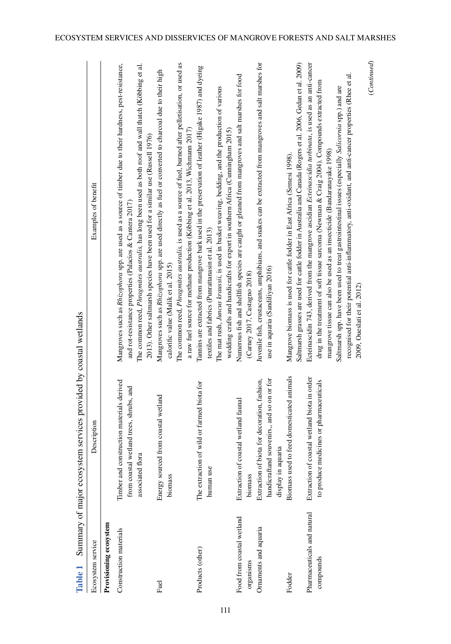| Table 1                                  | Summary of major ecosystem services provided by coastal wetlands                                                 |                                                                                                                                                                                                                                                                                                                                                                                                                                                                                                                                                     |
|------------------------------------------|------------------------------------------------------------------------------------------------------------------|-----------------------------------------------------------------------------------------------------------------------------------------------------------------------------------------------------------------------------------------------------------------------------------------------------------------------------------------------------------------------------------------------------------------------------------------------------------------------------------------------------------------------------------------------------|
| Ecosystem service                        | Description                                                                                                      | Examples of benefit                                                                                                                                                                                                                                                                                                                                                                                                                                                                                                                                 |
| Provisioning ecosystem                   |                                                                                                                  |                                                                                                                                                                                                                                                                                                                                                                                                                                                                                                                                                     |
| Construction materials                   | Timber and construction materials derived<br>wetland trees, shrubs, and<br>associated flora<br>from coastal      | Mangroves such as <i>Rhizophora</i> spp. are used as a source of timber due to their hardness, pest-resistance,<br>The common reed, <i>Phragmites australis</i> , has long been used as both roof and wall thatch (Köbbing et al.<br>2013). Other saltmarsh species have been used for a similar use (Russell 1976)<br>and rot-resistance properties (Palacios & Cantera 2017)                                                                                                                                                                      |
| Fuel                                     | Energy sourced from coastal wetland<br>biomass                                                                   | The common reed, <i>Phragmites australis</i> , is used as a source of fuel, burned after pelletisation, or used as<br>Mangroves such as <i>Rhizophora</i> spp. are used directly as fuel or converted to charcoal due to their high<br>a raw fuel source for methane production (Köbbing et al. 2013, Wichmann 2017)<br>calorific value (Malik et al. 2015)                                                                                                                                                                                         |
| Products (other)                         | of wild or farmed biota for<br>The extraction<br>human use                                                       | Tamins are extracted from mangrove bark used in the preservation of leather (Higake 1987) and dyeing<br>The mat rush, Juncus kraussii, is used in basket weaving, bedding, and the production of various<br>wedding crafts and handicrafts for export in southern Africa (Cumingham 2015)<br>textiles and fabrics (Punrattanasin et al. 2013)                                                                                                                                                                                                       |
| Food from coastal wetland<br>organisms   | Extraction of coastal wetland faunal<br>biomass                                                                  | Numerous fish and shellfish species are caught or gleaned from mangroves and salt marshes for food<br>(Carney 2017, Castagno 2018)                                                                                                                                                                                                                                                                                                                                                                                                                  |
| Ornaments and aquaria                    | handicraftand souvenirs,, and so on or for<br>Extraction of biota for decoration, fashion,<br>display in aquaria | Juvenile fish, crustaceans, amphibians, and snakes can be extracted from mangroves and salt marshes for<br>use in aquaria (Sandiliyan 2016)                                                                                                                                                                                                                                                                                                                                                                                                         |
| Fodder                                   | Biomass used to feed domesticated animals                                                                        | Saltmarsh grasses are used for cattle fodder in Australia and Canada (Rogers et al. 2006, Gedan et al. 2009)<br>Mangrove biomass is used for cattle fodder in East Africa (Semesi 1998).                                                                                                                                                                                                                                                                                                                                                            |
| Pharmaceuticals and natural<br>compounds | Extraction of coastal wetland biota in order<br>to produce medicines or pharmaceuticals                          | (Continued)<br>Ecteinascidin 743, derived from the mangrove ascidian Ecteinascidia turbinata, is used as an anti-cancer<br>recognised for their potential anti-inflammatory, anti-oxidant, and anti-cancer properties (Rhee et al.<br>drug in the treatment of soft tissue sarcoma (Newman & Craig 2004). Compounds extracted from<br>Saltmarsh spp. have been used to treat gastrointestinal issues (especially Salicornia spp.) and are<br>mangrove tissue can also be used as an insecticide (Bandaranayake 1998)<br>2009, Oueslati et al. 2012) |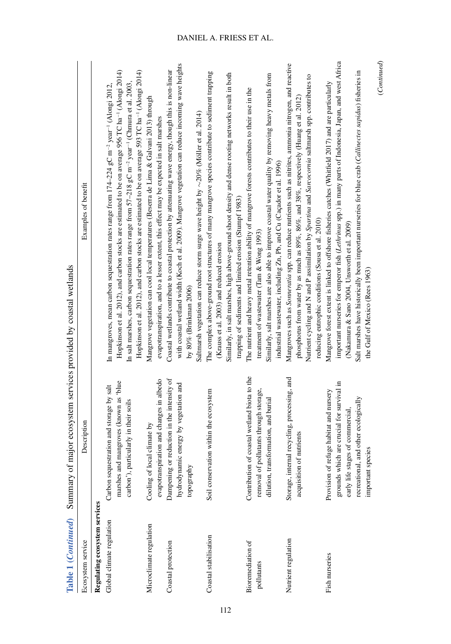| Table 1 (Continued)                                        | Summary of major ecosystem services provided by coastal wetlands                                                                                                                      |                                                                                                                                                                                                                                                                                                                                                                                                                                                                                          |
|------------------------------------------------------------|---------------------------------------------------------------------------------------------------------------------------------------------------------------------------------------|------------------------------------------------------------------------------------------------------------------------------------------------------------------------------------------------------------------------------------------------------------------------------------------------------------------------------------------------------------------------------------------------------------------------------------------------------------------------------------------|
| Ecosystem service                                          | Description                                                                                                                                                                           | Examples of benefit                                                                                                                                                                                                                                                                                                                                                                                                                                                                      |
| Regulating ecosystem services<br>Global climate regulation | marshes and mangroves (known as 'blue<br>Carbon sequestration and storage by salt<br>carbon'), particularly in their soils                                                            | Hopkinson et al. 2012), and carbon stocks are estimated to be on average 956 TC ha <sup>-1</sup> (Alongi 2014)<br>Hopkinson et al. 2012), and carbon stocks are estimated to be on average 593 TC ha <sup>-1</sup> (Alongi 2014)<br>In salt marshes, carbon sequestration rates range from $57-218$ gC m <sup>-2</sup> year <sup>-1</sup> (Chmura et al. 2003,<br>In mangroves, mean carbon sequestration rates range from $174-224$ gC m <sup>-2</sup> year <sup>-1</sup> (Alongi 2012. |
| Microclimate regulation                                    | evapotranspiration and changes in albedo<br>Cooling of local climate by                                                                                                               | Mangrove vegetation can cool local temperatures (Beserra de Lima & Galvani 2013) through<br>evapotranspiration, and to a lesser extent, this effect may be expected in salt marshes                                                                                                                                                                                                                                                                                                      |
| Coastal protection                                         | reduction in the intensity of<br>hydrodynamic energy by vegetation and<br>Dampening or<br>topography                                                                                  | with coastal wetland width (Koch et al. 2009). Mangrove vegetation can reduce incoming wave heights<br>Coastal wetlands contribute to coastal protection by attenuating wave energy, though this is non-linear<br>Saltmarsh vegetation can reduce storm surge wave height by $\sim$ 20% (Möller et al. 2014)<br>by $80\%$ (Brinkman 2006)                                                                                                                                                |
| Coastal stabilisation                                      | Soil conservation within the ecosystem                                                                                                                                                | The complex above-ground root structures of many mangrove species contribute to sediment trapping<br>Similarly, in salt marshes, high above-ground shoot density and dense rooting networks result in both<br>trapping of sediments and limited erosion (Stumpf 1983)<br>(Krauss et al. 2003) and reduced erosion                                                                                                                                                                        |
| Bioremediation of<br>pollutants                            | Contribution of coastal wetland biota to the<br>removal of pollutants through storage,<br>dilution, transformation, and burial                                                        | Similarly, salt marshes are also able to improve coastal water quality by removing heavy metals from<br>The nutrient and heavy metal retention ability of mangrove forests contributes to their use in the<br>industrial wastewater, including Zn, Pb, and Cu (Caçador et al. 1996)<br>treatment of wastewater (Tam & Wong 1993)                                                                                                                                                         |
| Nutrient regulation                                        | Storage, internal recycling, processing, and<br>acquisition of nutrients                                                                                                              | Mangroves such as Sonneratia spp. can reduce nutrients such as nitrites, ammonia nitrogen, and reactive<br>Nutrient cycling and N and P assimilation by Spartina and Sarcocornia saltmarsh spp. contributes to<br>phosphorus from water by as much as 89%, 86%, and 38%, respectively (Huang et al. 2012)<br>reducing eutrophic conditions (Sousa et al. 2010)                                                                                                                           |
| Fish nurseries                                             | grounds which are crucial for survival in<br>Provision of refuge habitat and nursery<br>recreational, and other ecologically<br>early life stages of commercial,<br>important species | important nurseries for emperor fish (Lethrinus spp.) in many parts of Indonesia, Japan, and west Africa<br>Salt marshes have historically been important nurseries for blue crab (Callinectes sapidus) fisheries in<br>Mangrove forest extent is linked to offshore fisheries catches (Whitfield 2017) and are particularly<br>(Nakamura & Sano 2004, Unsworth et al. 2009)<br>the Gulf of Mexico (Rees 1963)                                                                           |

112

#### DANIEL A. FRIESS ET AL.

 $(Continued) % \begin{minipage}[b]{0.5\linewidth} \centering \includegraphics[width=\textwidth]{figures/cross-entropy} % \end{minipage} % \caption{The \textit{Cort}~\cite{bib76}. It is a \textit{Cort}~\cite{bib76}. It is a \textit{Cort}~\cite{bib76}. It is a \textit{Cort}~\cite{bib76}. It is a \textit{Cort}~\cite{bib76}. It is a \textit{Cort}~\cite{bib76}. It is a \textit{Cort}~\cite{bib76}. It is a \textit{Cort}~\cite{bib76}. It is a \textit{Cort}~\cite{bib76}. It is a \textit{Cort}$ (*Continued*)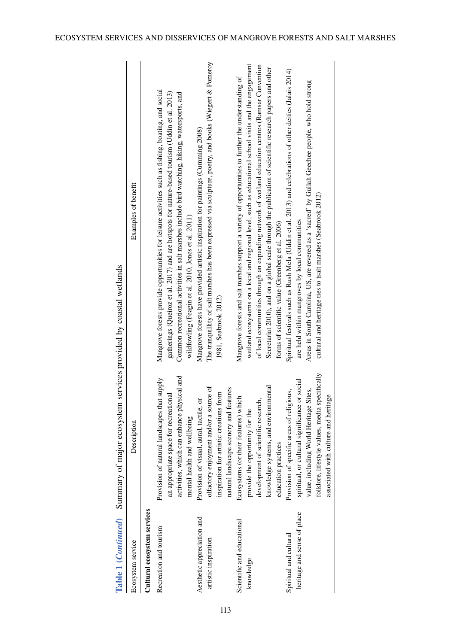|                                                       | Table 1 ( <i>Continued</i> ) Summary of major ecosystem services provided by coastal wetlands                                                                                                                                  |                                                                                                                                                                                                                                                                                                                                                                                                                                                                                      |
|-------------------------------------------------------|--------------------------------------------------------------------------------------------------------------------------------------------------------------------------------------------------------------------------------|--------------------------------------------------------------------------------------------------------------------------------------------------------------------------------------------------------------------------------------------------------------------------------------------------------------------------------------------------------------------------------------------------------------------------------------------------------------------------------------|
| Ecosystem service                                     | Description                                                                                                                                                                                                                    | Examples of benefit                                                                                                                                                                                                                                                                                                                                                                                                                                                                  |
| Cultural ecosystem services                           |                                                                                                                                                                                                                                |                                                                                                                                                                                                                                                                                                                                                                                                                                                                                      |
| Recreation and tourism                                | activities, which can enhance physical and<br>Provision of natural landscapes that supply<br>an appropriate space for recreational<br>and wellbeing<br>mental health                                                           | Mangrove forests provide opportunities for leisure activities such as fishing, boating, and social<br>gatherings (Queiroz et al. 2017) and are hotspots for nature-based tourism (Uddin et al. 2013)<br>Common recreational activities in salt marshes include bird watching, hiking, watersports, and<br>wildfowling (Feagin et al. 2010, Jones et al. 2011)                                                                                                                        |
| Aesthetic appreciation and<br>artistic inspiration    | olfactory enjoyment and/or a source of<br>natural landscape scenery and features<br>inspiration for artistic creations from<br>Provision of visual, aural, tactile, or                                                         | The tranquillity of salt marshes has been expressed via sculpture, poetry, and books (Wiegert & Pomeroy<br>Mangrove forests have provided artistic inspiration for paintings (Cumming 2008)<br>1981, Seabrook 2012)                                                                                                                                                                                                                                                                  |
| Scientific and educational<br>knowledge               | knowledge systems, and environmental<br>Ecosystems (or their features) which<br>development of scientific research,<br>provide the opportunity for the<br>education practices                                                  | wetland ecosystems on a local and regional level, such as educational school visits and the engagement<br>of local communities through an expanding network of wetland education centres (Ramsar Convention<br>Secretariat 2010), and on a global scale through the publication of scientific research papers and other<br>Mangrove forests and salt marshes support a variety of opportunities to further the understanding of<br>forms of scientific value (Greenberg et al. 2006) |
| heritage and sense of place<br>Spiritual and cultural | folklore, lifestyle values, media specifically<br>spiritual, or cultural significance or social<br>value, including World Heritage Sites,<br>Provision of specific areas of religious,<br>associated with culture and heritage | Spiritual festivals such as Rush Mela (Uddin et al. 2013) and celebrations of other deities (Jalais 2014)<br>Areas in South Carolina, US, are revered as a 'sacred' by Gullah Geechee people, who hold strong<br>cultural and heritage ties to tsalt marshes (Seabrook 2012)<br>are held within mangroves by local communities                                                                                                                                                       |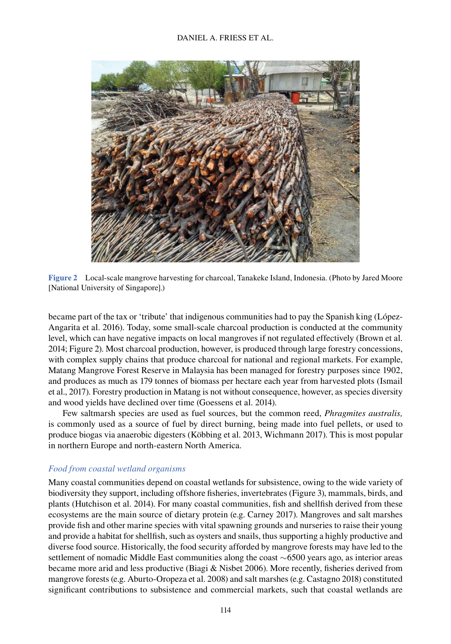

**Figure 2** Local-scale mangrove harvesting for charcoal, Tanakeke Island, Indonesia. (Photo by Jared Moore [National University of Singapore].)

became part of the tax or 'tribute' that indigenous communities had to pay the Spanish king (López-Angarita et al. 2016). Today, some small-scale charcoal production is conducted at the community level, which can have negative impacts on local mangroves if not regulated effectively (Brown et al. 2014; Figure 2). Most charcoal production, however, is produced through large forestry concessions, with complex supply chains that produce charcoal for national and regional markets. For example, Matang Mangrove Forest Reserve in Malaysia has been managed for forestry purposes since 1902, and produces as much as 179 tonnes of biomass per hectare each year from harvested plots (Ismail et al., 2017). Forestry production in Matang is not without consequence, however, as species diversity and wood yields have declined over time (Goessens et al. 2014).

Few saltmarsh species are used as fuel sources, but the common reed, *Phragmites australis,* is commonly used as a source of fuel by direct burning, being made into fuel pellets, or used to produce biogas via anaerobic digesters (Köbbing et al. 2013, Wichmann 2017). This is most popular in northern Europe and north-eastern North America.

#### *Food from coastal wetland organisms*

Many coastal communities depend on coastal wetlands for subsistence, owing to the wide variety of biodiversity they support, including offshore fisheries, invertebrates (Figure 3), mammals, birds, and plants (Hutchison et al. 2014). For many coastal communities, fish and shellfish derived from these ecosystems are the main source of dietary protein (e.g. Carney 2017). Mangroves and salt marshes provide fish and other marine species with vital spawning grounds and nurseries to raise their young and provide a habitat for shellfish, such as oysters and snails, thus supporting a highly productive and diverse food source. Historically, the food security afforded by mangrove forests may have led to the settlement of nomadic Middle East communities along the coast ∼6500 years ago, as interior areas became more arid and less productive (Biagi & Nisbet 2006). More recently, fisheries derived from mangrove forests (e.g. Aburto-Oropeza et al. 2008) and salt marshes (e.g. Castagno 2018) constituted significant contributions to subsistence and commercial markets, such that coastal wetlands are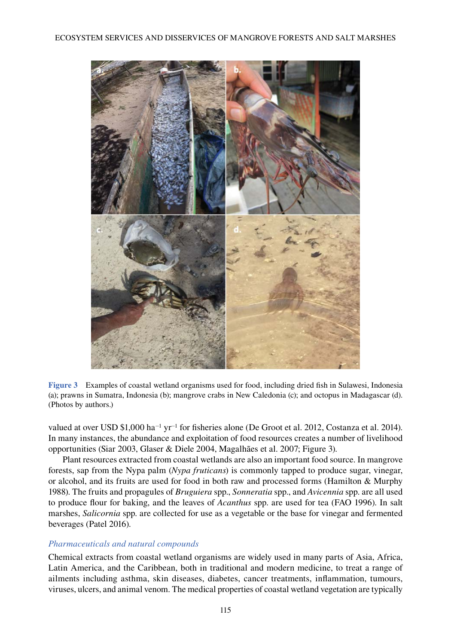

**Figure 3** Examples of coastal wetland organisms used for food, including dried fish in Sulawesi, Indonesia (a); prawns in Sumatra, Indonesia (b); mangrove crabs in New Caledonia (c); and octopus in Madagascar (d). (Photos by authors.)

valued at over USD \$1,000 ha−1 yr−1 for fisheries alone (De Groot et al. 2012, Costanza et al. 2014). In many instances, the abundance and exploitation of food resources creates a number of livelihood opportunities (Siar 2003, Glaser & Diele 2004, Magalhães et al. 2007; Figure 3).

Plant resources extracted from coastal wetlands are also an important food source. In mangrove forests, sap from the Nypa palm (*Nypa fruticans*) is commonly tapped to produce sugar, vinegar, or alcohol, and its fruits are used for food in both raw and processed forms (Hamilton & Murphy 1988). The fruits and propagules of *Bruguiera* spp., *Sonneratia* spp., and *Avicennia* spp. are all used to produce flour for baking, and the leaves of *Acanthus* spp. are used for tea (FAO 1996). In salt marshes, *Salicornia* spp. are collected for use as a vegetable or the base for vinegar and fermented beverages (Patel 2016).

#### *Pharmaceuticals and natural compounds*

Chemical extracts from coastal wetland organisms are widely used in many parts of Asia, Africa, Latin America, and the Caribbean, both in traditional and modern medicine, to treat a range of ailments including asthma, skin diseases, diabetes, cancer treatments, inflammation, tumours, viruses, ulcers, and animal venom. The medical properties of coastal wetland vegetation are typically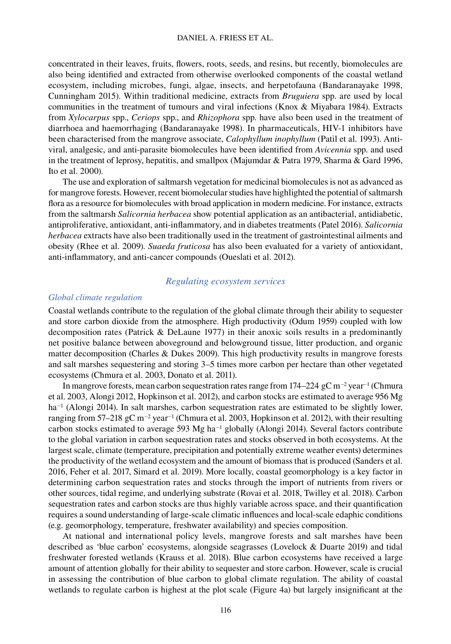concentrated in their leaves, fruits, flowers, roots, seeds, and resins, but recently, biomolecules are also being identified and extracted from otherwise overlooked components of the coastal wetland ecosystem, including microbes, fungi, algae, insects, and herpetofauna (Bandaranayake 1998, Cunningham 2015). Within traditional medicine, extracts from *Bruguiera* spp. are used by local communities in the treatment of tumours and viral infections (Knox & Miyabara 1984). Extracts from *Xylocarpus* spp., *Ceriops* spp., and *Rhizophora* spp. have also been used in the treatment of diarrhoea and haemorrhaging (Bandaranayake 1998). In pharmaceuticals, HIV-1 inhibitors have been characterised from the mangrove associate, *Calophyllum inophyllum* (Patil et al. 1993). Antiviral, analgesic, and anti-parasite biomolecules have been identified from *Avicennia* spp. and used in the treatment of leprosy, hepatitis, and smallpox (Majumdar & Patra 1979, Sharma & Gard 1996, Ito et al. 2000).

The use and exploration of saltmarsh vegetation for medicinal biomolecules is not as advanced as for mangrove forests. However, recent biomolecular studies have highlighted the potential of saltmarsh flora as a resource for biomolecules with broad application in modern medicine. For instance, extracts from the saltmarsh *Salicornia herbacea* show potential application as an antibacterial, antidiabetic, antiproliferative, antioxidant, anti-inflammatory, and in diabetes treatments (Patel 2016). *Salicornia herbacea* extracts have also been traditionally used in the treatment of gastrointestinal ailments and obesity (Rhee et al. 2009). *Suaeda fruticosa* has also been evaluated for a variety of antioxidant, anti-inflammatory, and anti-cancer compounds (Oueslati et al. 2012).

#### *Regulating ecosystem services*

#### *Global climate regulation*

Coastal wetlands contribute to the regulation of the global climate through their ability to sequester and store carbon dioxide from the atmosphere. High productivity (Odum 1959) coupled with low decomposition rates (Patrick & DeLaune 1977) in their anoxic soils results in a predominantly net positive balance between aboveground and belowground tissue, litter production, and organic matter decomposition (Charles & Dukes 2009). This high productivity results in mangrove forests and salt marshes sequestering and storing 3–5 times more carbon per hectare than other vegetated ecosystems (Chmura et al. 2003, Donato et al. 2011).

In mangrove forests, mean carbon sequestration rates range from 174–224 gC m−2 year−1 (Chmura et al. 2003, Alongi 2012, Hopkinson et al. 2012), and carbon stocks are estimated to average 956 Mg ha<sup>-1</sup> (Alongi 2014). In salt marshes, carbon sequestration rates are estimated to be slightly lower, ranging from 57–218 gC m<sup>-2</sup> year<sup>-1</sup> (Chmura et al. 2003, Hopkinson et al. 2012), with their resulting carbon stocks estimated to average 593 Mg ha<sup>-1</sup> globally (Alongi 2014). Several factors contribute to the global variation in carbon sequestration rates and stocks observed in both ecosystems. At the largest scale, climate (temperature, precipitation and potentially extreme weather events) determines the productivity of the wetland ecosystem and the amount of biomass that is produced (Sanders et al. 2016, Feher et al. 2017, Simard et al. 2019). More locally, coastal geomorphology is a key factor in determining carbon sequestration rates and stocks through the import of nutrients from rivers or other sources, tidal regime, and underlying substrate (Rovai et al. 2018, Twilley et al. 2018). Carbon sequestration rates and carbon stocks are thus highly variable across space, and their quantification requires a sound understanding of large-scale climatic influences and local-scale edaphic conditions (e.g. geomorphology, temperature, freshwater availability) and species composition.

At national and international policy levels, mangrove forests and salt marshes have been described as 'blue carbon' ecosystems, alongside seagrasses (Lovelock & Duarte 2019) and tidal freshwater forested wetlands (Krauss et al. 2018). Blue carbon ecosystems have received a large amount of attention globally for their ability to sequester and store carbon. However, scale is crucial in assessing the contribution of blue carbon to global climate regulation. The ability of coastal wetlands to regulate carbon is highest at the plot scale (Figure 4a) but largely insignificant at the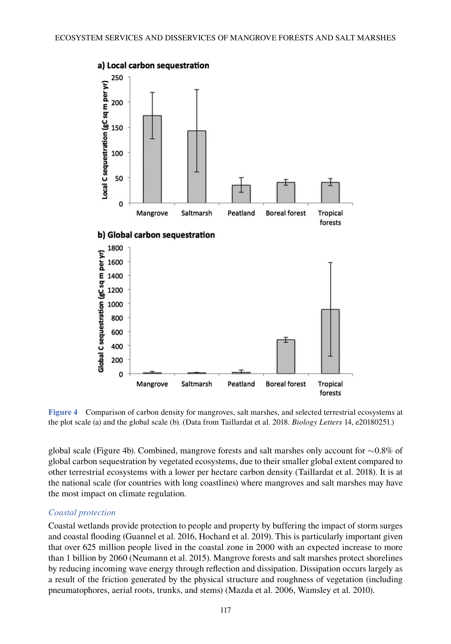

**Figure 4** Comparison of carbon density for mangroves, salt marshes, and selected terrestrial ecosystems at the plot scale (a) and the global scale (b). (Data from Taillardat et al. 2018. *Biology Letters* 14, e20180251.)

global scale (Figure 4b). Combined, mangrove forests and salt marshes only account for ∼0.8% of global carbon sequestration by vegetated ecosystems, due to their smaller global extent compared to other terrestrial ecosystems with a lower per hectare carbon density (Taillardat et al. 2018). It is at the national scale (for countries with long coastlines) where mangroves and salt marshes may have the most impact on climate regulation.

#### *Coastal protection*

Coastal wetlands provide protection to people and property by buffering the impact of storm surges and coastal flooding (Guannel et al. 2016, Hochard et al. 2019). This is particularly important given that over 625 million people lived in the coastal zone in 2000 with an expected increase to more than 1 billion by 2060 (Neumann et al. 2015). Mangrove forests and salt marshes protect shorelines by reducing incoming wave energy through reflection and dissipation. Dissipation occurs largely as a result of the friction generated by the physical structure and roughness of vegetation (including pneumatophores, aerial roots, trunks, and stems) (Mazda et al. 2006, Wamsley et al. 2010).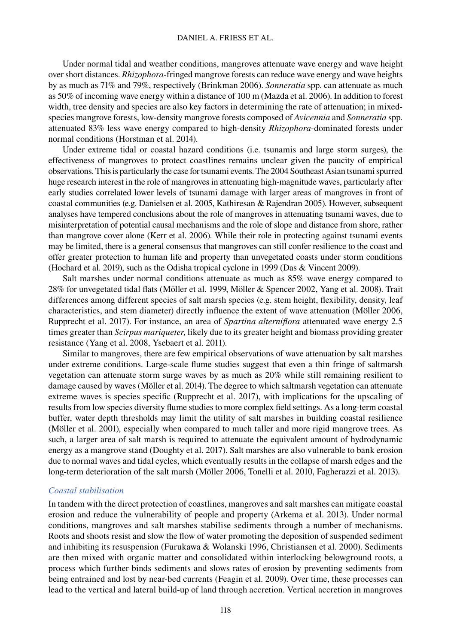#### DANIEL A. FRIESS ET AL.

Under normal tidal and weather conditions, mangroves attenuate wave energy and wave height over short distances. *Rhizophora-*fringed mangrove forests can reduce wave energy and wave heights by as much as 71% and 79%, respectively (Brinkman 2006). *Sonneratia* spp. can attenuate as much as 50% of incoming wave energy within a distance of 100 m (Mazda et al. 2006). In addition to forest width, tree density and species are also key factors in determining the rate of attenuation; in mixedspecies mangrove forests, low-density mangrove forests composed of *Avicennia* and *Sonneratia* spp. attenuated 83% less wave energy compared to high-density *Rhizophora*-dominated forests under normal conditions (Horstman et al. 2014).

Under extreme tidal or coastal hazard conditions (i.e. tsunamis and large storm surges), the effectiveness of mangroves to protect coastlines remains unclear given the paucity of empirical observations. This is particularly the case for tsunami events. The 2004 Southeast Asian tsunami spurred huge research interest in the role of mangroves in attenuating high-magnitude waves, particularly after early studies correlated lower levels of tsunami damage with larger areas of mangroves in front of coastal communities (e.g. Danielsen et al. 2005, Kathiresan & Rajendran 2005). However, subsequent analyses have tempered conclusions about the role of mangroves in attenuating tsunami waves, due to misinterpretation of potential causal mechanisms and the role of slope and distance from shore, rather than mangrove cover alone (Kerr et al. 2006). While their role in protecting against tsunami events may be limited, there is a general consensus that mangroves can still confer resilience to the coast and offer greater protection to human life and property than unvegetated coasts under storm conditions (Hochard et al. 2019), such as the Odisha tropical cyclone in 1999 (Das & Vincent 2009).

Salt marshes under normal conditions attenuate as much as 85% wave energy compared to 28% for unvegetated tidal flats (Möller et al. 1999, Möller & Spencer 2002, Yang et al. 2008). Trait differences among different species of salt marsh species (e.g. stem height, flexibility, density, leaf characteristics, and stem diameter) directly influence the extent of wave attenuation (Möller 2006, Rupprecht et al. 2017). For instance, an area of *Spartina alterniflora* attenuated wave energy 2.5 times greater than *Scirpus mariqueter*, likely due to its greater height and biomass providing greater resistance (Yang et al. 2008, Ysebaert et al. 2011).

Similar to mangroves, there are few empirical observations of wave attenuation by salt marshes under extreme conditions. Large-scale flume studies suggest that even a thin fringe of saltmarsh vegetation can attenuate storm surge waves by as much as 20% while still remaining resilient to damage caused by waves (Möller et al. 2014). The degree to which saltmarsh vegetation can attenuate extreme waves is species specific (Rupprecht et al. 2017), with implications for the upscaling of results from low species diversity flume studies to more complex field settings. As a long-term coastal buffer, water depth thresholds may limit the utility of salt marshes in building coastal resilience (Möller et al. 2001), especially when compared to much taller and more rigid mangrove trees. As such, a larger area of salt marsh is required to attenuate the equivalent amount of hydrodynamic energy as a mangrove stand (Doughty et al. 2017). Salt marshes are also vulnerable to bank erosion due to normal waves and tidal cycles, which eventually results in the collapse of marsh edges and the long-term deterioration of the salt marsh (Möller 2006, Tonelli et al. 2010, Fagherazzi et al. 2013).

#### *Coastal stabilisation*

In tandem with the direct protection of coastlines, mangroves and salt marshes can mitigate coastal erosion and reduce the vulnerability of people and property (Arkema et al. 2013). Under normal conditions, mangroves and salt marshes stabilise sediments through a number of mechanisms. Roots and shoots resist and slow the flow of water promoting the deposition of suspended sediment and inhibiting its resuspension (Furukawa & Wolanski 1996, Christiansen et al. 2000). Sediments are then mixed with organic matter and consolidated within interlocking belowground roots, a process which further binds sediments and slows rates of erosion by preventing sediments from being entrained and lost by near-bed currents (Feagin et al. 2009). Over time, these processes can lead to the vertical and lateral build-up of land through accretion. Vertical accretion in mangroves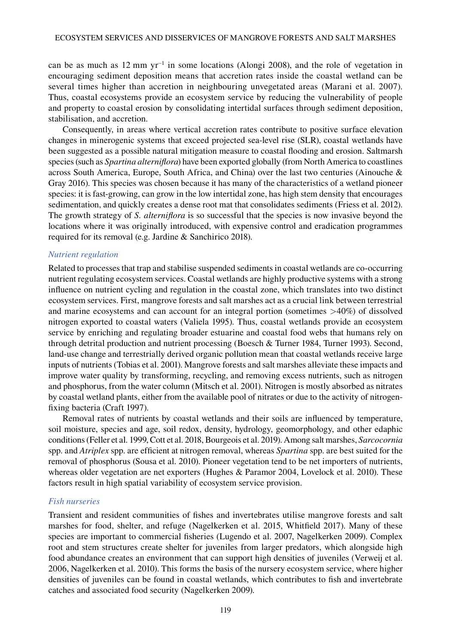can be as much as 12 mm yr−1 in some locations (Alongi 2008), and the role of vegetation in encouraging sediment deposition means that accretion rates inside the coastal wetland can be several times higher than accretion in neighbouring unvegetated areas (Marani et al. 2007). Thus, coastal ecosystems provide an ecosystem service by reducing the vulnerability of people and property to coastal erosion by consolidating intertidal surfaces through sediment deposition, stabilisation, and accretion.

Consequently, in areas where vertical accretion rates contribute to positive surface elevation changes in minerogenic systems that exceed projected sea-level rise (SLR), coastal wetlands have been suggested as a possible natural mitigation measure to coastal flooding and erosion. Saltmarsh species (such as *Spartina alterniflora*) have been exported globally (from North America to coastlines across South America, Europe, South Africa, and China) over the last two centuries (Ainouche & Gray 2016). This species was chosen because it has many of the characteristics of a wetland pioneer species: it is fast-growing, can grow in the low intertidal zone, has high stem density that encourages sedimentation, and quickly creates a dense root mat that consolidates sediments (Friess et al. 2012). The growth strategy of *S. alterniflora* is so successful that the species is now invasive beyond the locations where it was originally introduced, with expensive control and eradication programmes required for its removal (e.g. Jardine & Sanchirico 2018).

#### *Nutrient regulation*

Related to processes that trap and stabilise suspended sediments in coastal wetlands are co-occurring nutrient regulating ecosystem services. Coastal wetlands are highly productive systems with a strong influence on nutrient cycling and regulation in the coastal zone, which translates into two distinct ecosystem services. First, mangrove forests and salt marshes act as a crucial link between terrestrial and marine ecosystems and can account for an integral portion (sometimes >40%) of dissolved nitrogen exported to coastal waters (Valiela 1995). Thus, coastal wetlands provide an ecosystem service by enriching and regulating broader estuarine and coastal food webs that humans rely on through detrital production and nutrient processing (Boesch & Turner 1984, Turner 1993). Second, land-use change and terrestrially derived organic pollution mean that coastal wetlands receive large inputs of nutrients (Tobias et al. 2001). Mangrove forests and salt marshes alleviate these impacts and improve water quality by transforming, recycling, and removing excess nutrients, such as nitrogen and phosphorus, from the water column (Mitsch et al. 2001). Nitrogen is mostly absorbed as nitrates by coastal wetland plants, either from the available pool of nitrates or due to the activity of nitrogenfixing bacteria (Craft 1997).

Removal rates of nutrients by coastal wetlands and their soils are influenced by temperature, soil moisture, species and age, soil redox, density, hydrology, geomorphology, and other edaphic conditions (Feller et al. 1999, Cott et al. 2018, Bourgeois et al. 2019). Among salt marshes, *Sarcocornia* spp. and *Atriplex* spp. are efficient at nitrogen removal, whereas *Spartina* spp. are best suited for the removal of phosphorus (Sousa et al. 2010). Pioneer vegetation tend to be net importers of nutrients, whereas older vegetation are net exporters (Hughes & Paramor 2004, Lovelock et al. 2010). These factors result in high spatial variability of ecosystem service provision.

#### *Fish nurseries*

Transient and resident communities of fishes and invertebrates utilise mangrove forests and salt marshes for food, shelter, and refuge (Nagelkerken et al. 2015, Whitfield 2017). Many of these species are important to commercial fisheries (Lugendo et al. 2007, Nagelkerken 2009). Complex root and stem structures create shelter for juveniles from larger predators, which alongside high food abundance creates an environment that can support high densities of juveniles (Verweij et al. 2006, Nagelkerken et al. 2010). This forms the basis of the nursery ecosystem service, where higher densities of juveniles can be found in coastal wetlands, which contributes to fish and invertebrate catches and associated food security (Nagelkerken 2009).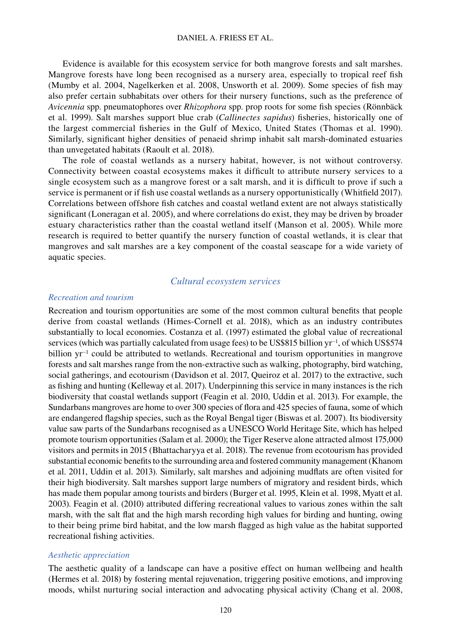#### DANIEL A. FRIESS ET AL.

Evidence is available for this ecosystem service for both mangrove forests and salt marshes. Mangrove forests have long been recognised as a nursery area, especially to tropical reef fish (Mumby et al. 2004, Nagelkerken et al. 2008, Unsworth et al. 2009). Some species of fish may also prefer certain subhabitats over others for their nursery functions, such as the preference of *Avicennia* spp. pneumatophores over *Rhizophora* spp. prop roots for some fish species (Rönnbäck et al. 1999). Salt marshes support blue crab (*Callinectes sapidus*) fisheries, historically one of the largest commercial fisheries in the Gulf of Mexico, United States (Thomas et al. 1990). Similarly, significant higher densities of penaeid shrimp inhabit salt marsh-dominated estuaries than unvegetated habitats (Raoult et al. 2018).

The role of coastal wetlands as a nursery habitat, however, is not without controversy. Connectivity between coastal ecosystems makes it difficult to attribute nursery services to a single ecosystem such as a mangrove forest or a salt marsh, and it is difficult to prove if such a service is permanent or if fish use coastal wetlands as a nursery opportunistically (Whitfield 2017). Correlations between offshore fish catches and coastal wetland extent are not always statistically significant (Loneragan et al. 2005), and where correlations do exist, they may be driven by broader estuary characteristics rather than the coastal wetland itself (Manson et al. 2005). While more research is required to better quantify the nursery function of coastal wetlands, it is clear that mangroves and salt marshes are a key component of the coastal seascape for a wide variety of aquatic species.

#### *Cultural ecosystem services*

#### *Recreation and tourism*

Recreation and tourism opportunities are some of the most common cultural benefits that people derive from coastal wetlands (Himes-Cornell et al. 2018), which as an industry contributes substantially to local economies. Costanza et al. (1997) estimated the global value of recreational services (which was partially calculated from usage fees) to be US\$815 billion yr<sup>−1</sup>, of which US\$574 billion yr−1 could be attributed to wetlands. Recreational and tourism opportunities in mangrove forests and salt marshes range from the non-extractive such as walking, photography, bird watching, social gatherings, and ecotourism (Davidson et al. 2017, Queiroz et al. 2017) to the extractive, such as fishing and hunting (Kelleway et al. 2017). Underpinning this service in many instances is the rich biodiversity that coastal wetlands support (Feagin et al. 2010, Uddin et al. 2013). For example, the Sundarbans mangroves are home to over 300 species of flora and 425 species of fauna, some of which are endangered flagship species, such as the Royal Bengal tiger (Biswas et al. 2007). Its biodiversity value saw parts of the Sundarbans recognised as a UNESCO World Heritage Site, which has helped promote tourism opportunities (Salam et al. 2000); the Tiger Reserve alone attracted almost 175,000 visitors and permits in 2015 (Bhattacharyya et al. 2018). The revenue from ecotourism has provided substantial economic benefits to the surrounding area and fostered community management (Khanom et al. 2011, Uddin et al. 2013). Similarly, salt marshes and adjoining mudflats are often visited for their high biodiversity. Salt marshes support large numbers of migratory and resident birds, which has made them popular among tourists and birders (Burger et al. 1995, Klein et al. 1998, Myatt et al. 2003). Feagin et al. (2010) attributed differing recreational values to various zones within the salt marsh, with the salt flat and the high marsh recording high values for birding and hunting, owing to their being prime bird habitat, and the low marsh flagged as high value as the habitat supported recreational fishing activities.

#### *Aesthetic appreciation*

The aesthetic quality of a landscape can have a positive effect on human wellbeing and health (Hermes et al. 2018) by fostering mental rejuvenation, triggering positive emotions, and improving moods, whilst nurturing social interaction and advocating physical activity (Chang et al. 2008,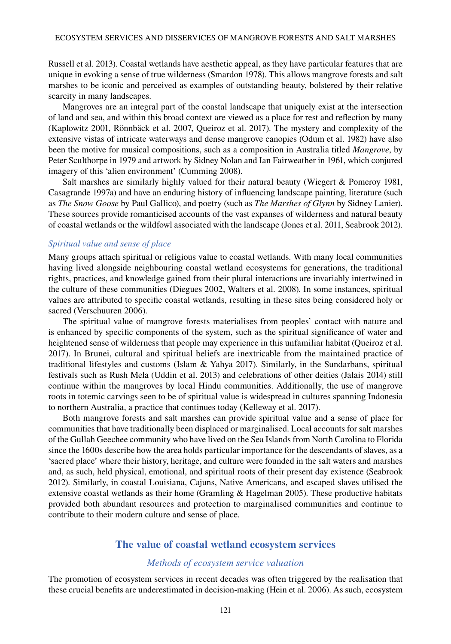Russell et al. 2013). Coastal wetlands have aesthetic appeal, as they have particular features that are unique in evoking a sense of true wilderness (Smardon 1978). This allows mangrove forests and salt marshes to be iconic and perceived as examples of outstanding beauty, bolstered by their relative scarcity in many landscapes.

Mangroves are an integral part of the coastal landscape that uniquely exist at the intersection of land and sea, and within this broad context are viewed as a place for rest and reflection by many (Kaplowitz 2001, Rönnbäck et al. 2007, Queiroz et al. 2017). The mystery and complexity of the extensive vistas of intricate waterways and dense mangrove canopies (Odum et al. 1982) have also been the motive for musical compositions, such as a composition in Australia titled *Mangrove*, by Peter Sculthorpe in 1979 and artwork by Sidney Nolan and Ian Fairweather in 1961, which conjured imagery of this 'alien environment' (Cumming 2008).

Salt marshes are similarly highly valued for their natural beauty (Wiegert & Pomeroy 1981, Casagrande 1997a) and have an enduring history of influencing landscape painting, literature (such as *The Snow Goose* by Paul Gallico), and poetry (such as *The Marshes of Glynn* by Sidney Lanier). These sources provide romanticised accounts of the vast expanses of wilderness and natural beauty of coastal wetlands or the wildfowl associated with the landscape (Jones et al. 2011, Seabrook 2012).

#### *Spiritual value and sense of place*

Many groups attach spiritual or religious value to coastal wetlands. With many local communities having lived alongside neighbouring coastal wetland ecosystems for generations, the traditional rights, practices, and knowledge gained from their plural interactions are invariably intertwined in the culture of these communities (Diegues 2002, Walters et al. 2008). In some instances, spiritual values are attributed to specific coastal wetlands, resulting in these sites being considered holy or sacred (Verschuuren 2006).

The spiritual value of mangrove forests materialises from peoples' contact with nature and is enhanced by specific components of the system, such as the spiritual significance of water and heightened sense of wilderness that people may experience in this unfamiliar habitat (Queiroz et al. 2017). In Brunei, cultural and spiritual beliefs are inextricable from the maintained practice of traditional lifestyles and customs (Islam & Yahya 2017). Similarly, in the Sundarbans, spiritual festivals such as Rush Mela (Uddin et al. 2013) and celebrations of other deities (Jalais 2014) still continue within the mangroves by local Hindu communities. Additionally, the use of mangrove roots in totemic carvings seen to be of spiritual value is widespread in cultures spanning Indonesia to northern Australia, a practice that continues today (Kelleway et al. 2017).

Both mangrove forests and salt marshes can provide spiritual value and a sense of place for communities that have traditionally been displaced or marginalised. Local accounts for salt marshes of the Gullah Geechee community who have lived on the Sea Islands from North Carolina to Florida since the 1600s describe how the area holds particular importance for the descendants of slaves, as a 'sacred place' where their history, heritage, and culture were founded in the salt waters and marshes and, as such, held physical, emotional, and spiritual roots of their present day existence (Seabrook 2012). Similarly, in coastal Louisiana, Cajuns, Native Americans, and escaped slaves utilised the extensive coastal wetlands as their home (Gramling & Hagelman 2005). These productive habitats provided both abundant resources and protection to marginalised communities and continue to contribute to their modern culture and sense of place.

#### **The value of coastal wetland ecosystem services**

#### *Methods of ecosystem service valuation*

The promotion of ecosystem services in recent decades was often triggered by the realisation that these crucial benefits are underestimated in decision-making (Hein et al. 2006). As such, ecosystem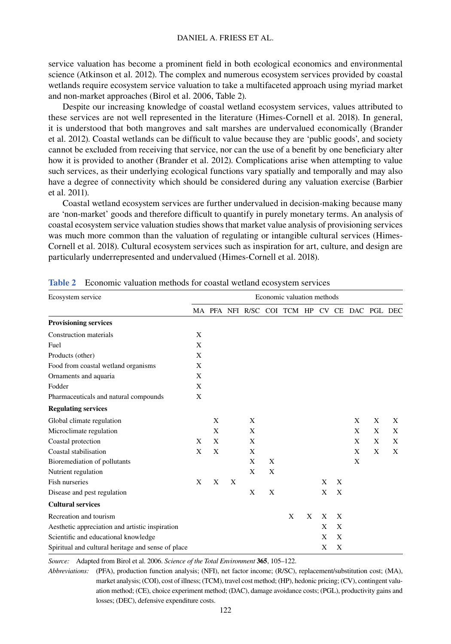service valuation has become a prominent field in both ecological economics and environmental science (Atkinson et al. 2012). The complex and numerous ecosystem services provided by coastal wetlands require ecosystem service valuation to take a multifaceted approach using myriad market and non-market approaches (Birol et al. 2006, Table 2).

Despite our increasing knowledge of coastal wetland ecosystem services, values attributed to these services are not well represented in the literature (Himes-Cornell et al. 2018). In general, it is understood that both mangroves and salt marshes are undervalued economically (Brander et al. 2012). Coastal wetlands can be difficult to value because they are 'public goods', and society cannot be excluded from receiving that service, nor can the use of a benefit by one beneficiary alter how it is provided to another (Brander et al. 2012). Complications arise when attempting to value such services, as their underlying ecological functions vary spatially and temporally and may also have a degree of connectivity which should be considered during any valuation exercise (Barbier et al. 2011).

Coastal wetland ecosystem services are further undervalued in decision-making because many are 'non-market' goods and therefore difficult to quantify in purely monetary terms. An analysis of coastal ecosystem service valuation studies shows that market value analysis of provisioning services was much more common than the valuation of regulating or intangible cultural services (Himes-Cornell et al. 2018). Cultural ecosystem services such as inspiration for art, culture, and design are particularly underrepresented and undervalued (Himes-Cornell et al. 2018).

| Ecosystem service                                  |   |   |   |                                              |   | Economic valuation methods |   |   |   |   |   |   |
|----------------------------------------------------|---|---|---|----------------------------------------------|---|----------------------------|---|---|---|---|---|---|
|                                                    |   |   |   | MA PFA NFI R/SC COI TCM HP CV CE DAC PGL DEC |   |                            |   |   |   |   |   |   |
| <b>Provisioning services</b>                       |   |   |   |                                              |   |                            |   |   |   |   |   |   |
| <b>Construction materials</b>                      | X |   |   |                                              |   |                            |   |   |   |   |   |   |
| Fuel                                               | X |   |   |                                              |   |                            |   |   |   |   |   |   |
| Products (other)                                   | X |   |   |                                              |   |                            |   |   |   |   |   |   |
| Food from coastal wetland organisms                | X |   |   |                                              |   |                            |   |   |   |   |   |   |
| Ornaments and aquaria                              | X |   |   |                                              |   |                            |   |   |   |   |   |   |
| Fodder                                             | X |   |   |                                              |   |                            |   |   |   |   |   |   |
| Pharmaceuticals and natural compounds              | X |   |   |                                              |   |                            |   |   |   |   |   |   |
| <b>Regulating services</b>                         |   |   |   |                                              |   |                            |   |   |   |   |   |   |
| Global climate regulation                          |   | X |   | X                                            |   |                            |   |   |   | X | X | X |
| Microclimate regulation                            |   | X |   | X                                            |   |                            |   |   |   | X | X | X |
| Coastal protection                                 | X | X |   | X                                            |   |                            |   |   |   | X | X | X |
| Coastal stabilisation                              | X | X |   | X                                            |   |                            |   |   |   | X | X | X |
| Bioremediation of pollutants                       |   |   |   | X                                            | X |                            |   |   |   | X |   |   |
| Nutrient regulation                                |   |   |   | X                                            | X |                            |   |   |   |   |   |   |
| <b>Fish nurseries</b>                              | X | X | X |                                              |   |                            |   | X | X |   |   |   |
| Disease and pest regulation                        |   |   |   | X                                            | X |                            |   | X | X |   |   |   |
| <b>Cultural services</b>                           |   |   |   |                                              |   |                            |   |   |   |   |   |   |
| Recreation and tourism                             |   |   |   |                                              |   | X                          | X | X | X |   |   |   |
| Aesthetic appreciation and artistic inspiration    |   |   |   |                                              |   |                            |   | X | X |   |   |   |
| Scientific and educational knowledge               |   |   |   |                                              |   |                            |   | X | X |   |   |   |
| Spiritual and cultural heritage and sense of place |   |   |   |                                              |   |                            |   | X | X |   |   |   |

**Table 2** Economic valuation methods for coastal wetland ecosystem services

*Source:* Adapted from Birol et al. 2006. *Science of the Total Environment* **365**, 105–122.

*Abbreviations:* (PFA), production function analysis; (NFI), net factor income; (R/SC), replacement/substitution cost; (MA), market analysis; (COI), cost of illness; (TCM), travel cost method; (HP), hedonic pricing; (CV), contingent valuation method; (CE), choice experiment method; (DAC), damage avoidance costs; (PGL), productivity gains and losses; (DEC), defensive expenditure costs.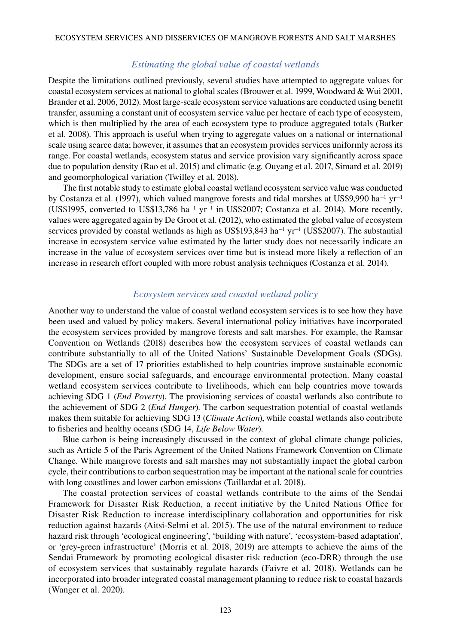#### *Estimating the global value of coastal wetlands*

Despite the limitations outlined previously, several studies have attempted to aggregate values for coastal ecosystem services at national to global scales (Brouwer et al. 1999, Woodward & Wui 2001, Brander et al. 2006, 2012). Most large-scale ecosystem service valuations are conducted using benefit transfer, assuming a constant unit of ecosystem service value per hectare of each type of ecosystem, which is then multiplied by the area of each ecosystem type to produce aggregated totals (Batker et al. 2008). This approach is useful when trying to aggregate values on a national or international scale using scarce data; however, it assumes that an ecosystem provides services uniformly across its range. For coastal wetlands, ecosystem status and service provision vary significantly across space due to population density (Rao et al. 2015) and climatic (e.g. Ouyang et al. 2017, Simard et al. 2019) and geomorphological variation (Twilley et al. 2018).

The first notable study to estimate global coastal wetland ecosystem service value was conducted by Costanza et al. (1997), which valued mangrove forests and tidal marshes at US\$9,990 ha−1 yr−<sup>1</sup> (US\$1995, converted to US\$13,786 ha<sup>-1</sup> yr<sup>-1</sup> in US\$2007; Costanza et al. 2014). More recently, values were aggregated again by De Groot et al. (2012), who estimated the global value of ecosystem services provided by coastal wetlands as high as US\$193,843 ha<sup>-1</sup> yr<sup>-1</sup> (US\$2007). The substantial increase in ecosystem service value estimated by the latter study does not necessarily indicate an increase in the value of ecosystem services over time but is instead more likely a reflection of an increase in research effort coupled with more robust analysis techniques (Costanza et al. 2014).

#### *Ecosystem services and coastal wetland policy*

Another way to understand the value of coastal wetland ecosystem services is to see how they have been used and valued by policy makers. Several international policy initiatives have incorporated the ecosystem services provided by mangrove forests and salt marshes. For example, the Ramsar Convention on Wetlands (2018) describes how the ecosystem services of coastal wetlands can contribute substantially to all of the United Nations' Sustainable Development Goals (SDGs). The SDGs are a set of 17 priorities established to help countries improve sustainable economic development, ensure social safeguards, and encourage environmental protection. Many coastal wetland ecosystem services contribute to livelihoods, which can help countries move towards achieving SDG 1 (*End Poverty*). The provisioning services of coastal wetlands also contribute to the achievement of SDG 2 (*End Hunger*). The carbon sequestration potential of coastal wetlands makes them suitable for achieving SDG 13 (*Climate Action*), while coastal wetlands also contribute to fisheries and healthy oceans (SDG 14, *Life Below Water*).

Blue carbon is being increasingly discussed in the context of global climate change policies, such as Article 5 of the Paris Agreement of the United Nations Framework Convention on Climate Change. While mangrove forests and salt marshes may not substantially impact the global carbon cycle, their contributions to carbon sequestration may be important at the national scale for countries with long coastlines and lower carbon emissions (Taillardat et al. 2018).

The coastal protection services of coastal wetlands contribute to the aims of the Sendai Framework for Disaster Risk Reduction, a recent initiative by the United Nations Office for Disaster Risk Reduction to increase interdisciplinary collaboration and opportunities for risk reduction against hazards (Aitsi-Selmi et al. 2015). The use of the natural environment to reduce hazard risk through 'ecological engineering', 'building with nature', 'ecosystem-based adaptation', or 'grey-green infrastructure' (Morris et al. 2018, 2019) are attempts to achieve the aims of the Sendai Framework by promoting ecological disaster risk reduction (eco-DRR) through the use of ecosystem services that sustainably regulate hazards (Faivre et al. 2018). Wetlands can be incorporated into broader integrated coastal management planning to reduce risk to coastal hazards (Wanger et al. 2020).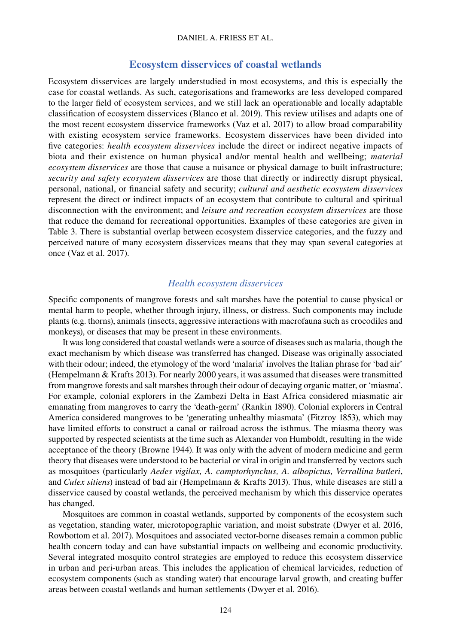#### DANIEL A. FRIESS ET AL.

#### **Ecosystem disservices of coastal wetlands**

Ecosystem disservices are largely understudied in most ecosystems, and this is especially the case for coastal wetlands. As such, categorisations and frameworks are less developed compared to the larger field of ecosystem services, and we still lack an operationable and locally adaptable classification of ecosystem disservices (Blanco et al. 2019). This review utilises and adapts one of the most recent ecosystem disservice frameworks (Vaz et al. 2017) to allow broad comparability with existing ecosystem service frameworks. Ecosystem disservices have been divided into five categories: *health ecosystem disservices* include the direct or indirect negative impacts of biota and their existence on human physical and/or mental health and wellbeing; *material ecosystem disservices* are those that cause a nuisance or physical damage to built infrastructure; *security and safety ecosystem disservices* are those that directly or indirectly disrupt physical, personal, national, or financial safety and security; *cultural and aesthetic ecosystem disservices* represent the direct or indirect impacts of an ecosystem that contribute to cultural and spiritual disconnection with the environment; and *leisure and recreation ecosystem disservices* are those that reduce the demand for recreational opportunities. Examples of these categories are given in Table 3. There is substantial overlap between ecosystem disservice categories, and the fuzzy and perceived nature of many ecosystem disservices means that they may span several categories at once (Vaz et al. 2017).

#### *Health ecosystem disservices*

Specific components of mangrove forests and salt marshes have the potential to cause physical or mental harm to people, whether through injury, illness, or distress. Such components may include plants (e.g. thorns), animals (insects, aggressive interactions with macrofauna such as crocodiles and monkeys), or diseases that may be present in these environments.

It was long considered that coastal wetlands were a source of diseases such as malaria, though the exact mechanism by which disease was transferred has changed. Disease was originally associated with their odour; indeed, the etymology of the word 'malaria' involves the Italian phrase for 'bad air' (Hempelmann & Krafts 2013). For nearly 2000 years, it was assumed that diseases were transmitted from mangrove forests and salt marshes through their odour of decaying organic matter, or 'miasma'. For example, colonial explorers in the Zambezi Delta in East Africa considered miasmatic air emanating from mangroves to carry the 'death-germ' (Rankin 1890). Colonial explorers in Central America considered mangroves to be 'generating unhealthy miasmata' (Fitzroy 1853), which may have limited efforts to construct a canal or railroad across the isthmus. The miasma theory was supported by respected scientists at the time such as Alexander von Humboldt, resulting in the wide acceptance of the theory (Browne 1944). It was only with the advent of modern medicine and germ theory that diseases were understood to be bacterial or viral in origin and transferred by vectors such as mosquitoes (particularly *Aedes vigilax, A. camptorhynchus, A. albopictus, Verrallina butleri*, and *Culex sitiens*) instead of bad air (Hempelmann & Krafts 2013). Thus, while diseases are still a disservice caused by coastal wetlands, the perceived mechanism by which this disservice operates has changed.

Mosquitoes are common in coastal wetlands, supported by components of the ecosystem such as vegetation, standing water, microtopographic variation, and moist substrate (Dwyer et al. 2016, Rowbottom et al. 2017). Mosquitoes and associated vector-borne diseases remain a common public health concern today and can have substantial impacts on wellbeing and economic productivity. Several integrated mosquito control strategies are employed to reduce this ecosystem disservice in urban and peri-urban areas. This includes the application of chemical larvicides, reduction of ecosystem components (such as standing water) that encourage larval growth, and creating buffer areas between coastal wetlands and human settlements (Dwyer et al. 2016).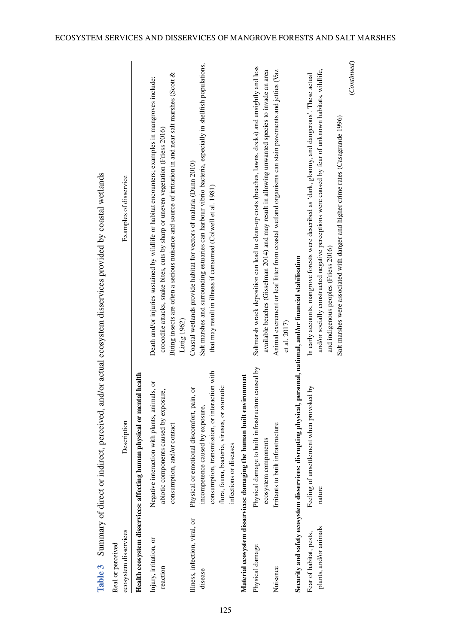| Health ecosystem disservices: affecting human physical or mental health<br>Material ecosystem disservices: damaging the human built environment<br>incompetence caused by exposure,<br>consumption, and/or contact<br>ecosystem components<br>infections or diseases<br>Illness, infection, viral, or<br>Injury, irritation, or<br>Physical damage<br>reaction<br>disease | Description                                                                                                                                  | Examples of disservice                                                                                                                                                                                                                                                                                                                               |
|---------------------------------------------------------------------------------------------------------------------------------------------------------------------------------------------------------------------------------------------------------------------------------------------------------------------------------------------------------------------------|----------------------------------------------------------------------------------------------------------------------------------------------|------------------------------------------------------------------------------------------------------------------------------------------------------------------------------------------------------------------------------------------------------------------------------------------------------------------------------------------------------|
|                                                                                                                                                                                                                                                                                                                                                                           |                                                                                                                                              |                                                                                                                                                                                                                                                                                                                                                      |
|                                                                                                                                                                                                                                                                                                                                                                           | Negative interaction with plants, animals, or<br>abiotic components caused by exposure,                                                      | Biting insects are often a serious nuisance and source of irritation in and near salt marshes (Scott &<br>Death and/or injuries sustained by wildlife or habitat encounters; examples in mangroves include:<br>crocodile attacks, snake bites, cuts by sharp or uneven vegetation (Friess 2016)<br>Littig $1962$                                     |
|                                                                                                                                                                                                                                                                                                                                                                           | consumption, transmission, or interaction with<br>flora, fauna, bacteria, viruses, or zoonotic<br>Physical or emotional discomfort, pain, or | Salt marshes and surrounding estuaries can harbour vibrio bacteria, especially in shellfish populations,<br>Coastal wetlands provide habitat for vectors of malaria (Dunn 2010)<br>that may result in illness if consumed (Colwell et al. 1981)                                                                                                      |
|                                                                                                                                                                                                                                                                                                                                                                           |                                                                                                                                              |                                                                                                                                                                                                                                                                                                                                                      |
|                                                                                                                                                                                                                                                                                                                                                                           | Physical damage to built infrastructure caused by                                                                                            | Saltmarsh wrack deposition can lead to clean-up costs (beaches, lawns, docks) and unsightly and less<br>available beaches (Gisselman 2014) and may result in allowing unwanted species to invade an area                                                                                                                                             |
| Irritants to built infrastructure<br>Nuisance                                                                                                                                                                                                                                                                                                                             |                                                                                                                                              | Animal excrement or leaf litter from coastal wetland organisms can stain pavements and jetties (Vaz<br>et al. 2017)                                                                                                                                                                                                                                  |
| Security and safety ecosystem disservices: disrupting physical, personal, national, and/or financial stabilisation                                                                                                                                                                                                                                                        |                                                                                                                                              |                                                                                                                                                                                                                                                                                                                                                      |
| nature<br>plants, and/or animals<br>Fear of habitat, pests,                                                                                                                                                                                                                                                                                                               | Feeling of unsettlement when provoked by                                                                                                     | (Continued)<br>and/or socially constructed negative perceptions were caused by fear of unknown habitats, wildlife,<br>In early accounts, mangrove forests were described as 'dark, gloomy, and dangerous'. These actual<br>Salt marshes were associated with danger and higher crime rates (Casagrande 1996)<br>and indigenous peoples (Friess 2016) |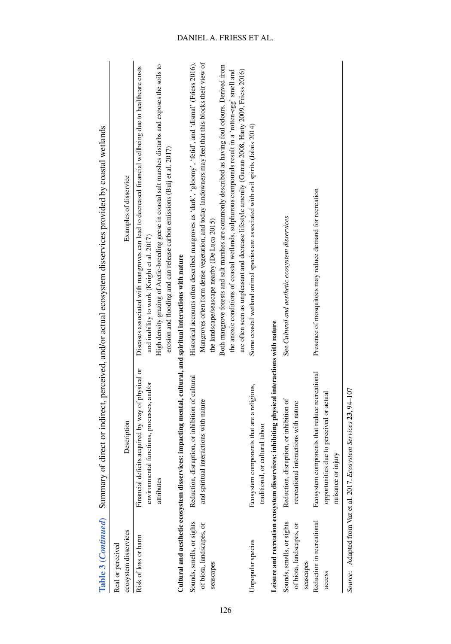|                                                                    |                                                                                                                  | Table 3 (Continued) Summary of direct or indirect, perceived, and/or actual ecosystem disservices provided by coastal wetlands                                                                                                                                                                                                                                      |
|--------------------------------------------------------------------|------------------------------------------------------------------------------------------------------------------|---------------------------------------------------------------------------------------------------------------------------------------------------------------------------------------------------------------------------------------------------------------------------------------------------------------------------------------------------------------------|
| ecosystem disservices<br>Real or perceived                         | Description                                                                                                      | Examples of disservice                                                                                                                                                                                                                                                                                                                                              |
| Risk of loss or harm                                               | Financial deficits acquired by way of physical or<br>environmental functions, processes, and/or<br>attributes    | High density grazing of Arctic-breeding geese in coastal salt marshes disturbs and exposes the soils to<br>Diseases associated with mangroves can lead to decreased financial wellbeing due to healthcare costs<br>erosion and flooding and can release carbon emissions (Buij et al. 2017)<br>and inability to work (Knight et al. 2017)                           |
|                                                                    | Cultural and aesthetic ecosystem disservices: impacting mental, cultural, and spiritual interactions with nature |                                                                                                                                                                                                                                                                                                                                                                     |
| Sounds, smells, or sights<br>of biota, landscapes, or<br>seascapes | Reduction, disruption, or inhibition of cultural<br>and spiritual interactions with nature                       | Mangroves often form dense vegetation, and today landowners may feel that this blocks their view of<br>Historical accounts often described mangroves as 'dark', 'gloomy', 'fetid', and 'dismal' (Friess 2016).<br>Both mangrove forests and salt marshes are commonly described as having foul odours. Derived from<br>the landscape/seascape nearby (De Luca 2015) |
|                                                                    |                                                                                                                  | are often seen as unpleasant and decrease lifestyle amenity (Gurran 2008, Harty 2009, Friess 2016)<br>the anoxic conditions of coastal wetlands, sulphurous compounds result in a 'rotten-egg' smell and                                                                                                                                                            |
| Unpopular species                                                  | Ecosystem components that are a religious,<br>traditional, or cultural taboo                                     | Some coastal wetland animal species are associated with evil spirits (Jalais 2014)                                                                                                                                                                                                                                                                                  |
|                                                                    | Leisure and recreation ecosystem disservices: inhibiting physical interactions with nature                       |                                                                                                                                                                                                                                                                                                                                                                     |
| Sounds, smells, or sights<br>of biota, landscapes, or<br>seascapes | Reduction, disruption, or inhibition of<br>recreational interactions with nature                                 | See Cultural and aesthetic ecosystem disservices                                                                                                                                                                                                                                                                                                                    |
| Reduction in recreational<br>access                                | Ecosystem components that reduce recreational<br>opportunities due to perceived or actual<br>nuisance or injury  | Presence of mosquitoes may reduce demand for recreation                                                                                                                                                                                                                                                                                                             |
|                                                                    | Source: Adapted from Vaz et al. 2017. Ecosystem Services 23, 94-107                                              |                                                                                                                                                                                                                                                                                                                                                                     |

126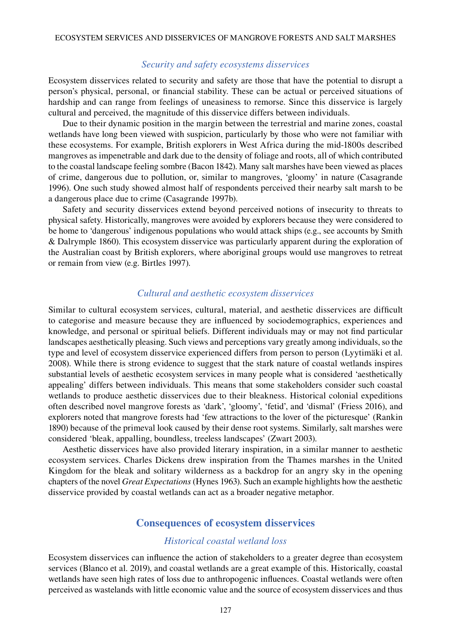#### *Security and safety ecosystems disservices*

Ecosystem disservices related to security and safety are those that have the potential to disrupt a person's physical, personal, or financial stability. These can be actual or perceived situations of hardship and can range from feelings of uneasiness to remorse. Since this disservice is largely cultural and perceived, the magnitude of this disservice differs between individuals.

Due to their dynamic position in the margin between the terrestrial and marine zones, coastal wetlands have long been viewed with suspicion, particularly by those who were not familiar with these ecosystems. For example, British explorers in West Africa during the mid-1800s described mangroves as impenetrable and dark due to the density of foliage and roots, all of which contributed to the coastal landscape feeling sombre (Bacon 1842). Many salt marshes have been viewed as places of crime, dangerous due to pollution, or, similar to mangroves, 'gloomy' in nature (Casagrande 1996). One such study showed almost half of respondents perceived their nearby salt marsh to be a dangerous place due to crime (Casagrande 1997b).

Safety and security disservices extend beyond perceived notions of insecurity to threats to physical safety. Historically, mangroves were avoided by explorers because they were considered to be home to 'dangerous' indigenous populations who would attack ships (e.g., see accounts by Smith & Dalrymple 1860). This ecosystem disservice was particularly apparent during the exploration of the Australian coast by British explorers, where aboriginal groups would use mangroves to retreat or remain from view (e.g. Birtles 1997).

#### *Cultural and aesthetic ecosystem disservices*

Similar to cultural ecosystem services, cultural, material, and aesthetic disservices are difficult to categorise and measure because they are influenced by sociodemographics, experiences and knowledge, and personal or spiritual beliefs. Different individuals may or may not find particular landscapes aesthetically pleasing. Such views and perceptions vary greatly among individuals, so the type and level of ecosystem disservice experienced differs from person to person (Lyytimäki et al. 2008). While there is strong evidence to suggest that the stark nature of coastal wetlands inspires substantial levels of aesthetic ecosystem services in many people what is considered 'aesthetically appealing' differs between individuals. This means that some stakeholders consider such coastal wetlands to produce aesthetic disservices due to their bleakness. Historical colonial expeditions often described novel mangrove forests as 'dark', 'gloomy', 'fetid', and 'dismal' (Friess 2016), and explorers noted that mangrove forests had 'few attractions to the lover of the picturesque' (Rankin 1890) because of the primeval look caused by their dense root systems. Similarly, salt marshes were considered 'bleak, appalling, boundless, treeless landscapes' (Zwart 2003).

Aesthetic disservices have also provided literary inspiration, in a similar manner to aesthetic ecosystem services. Charles Dickens drew inspiration from the Thames marshes in the United Kingdom for the bleak and solitary wilderness as a backdrop for an angry sky in the opening chapters of the novel *Great Expectations* (Hynes 1963). Such an example highlights how the aesthetic disservice provided by coastal wetlands can act as a broader negative metaphor.

#### **Consequences of ecosystem disservices**

#### *Historical coastal wetland loss*

Ecosystem disservices can influence the action of stakeholders to a greater degree than ecosystem services (Blanco et al. 2019), and coastal wetlands are a great example of this. Historically, coastal wetlands have seen high rates of loss due to anthropogenic influences. Coastal wetlands were often perceived as wastelands with little economic value and the source of ecosystem disservices and thus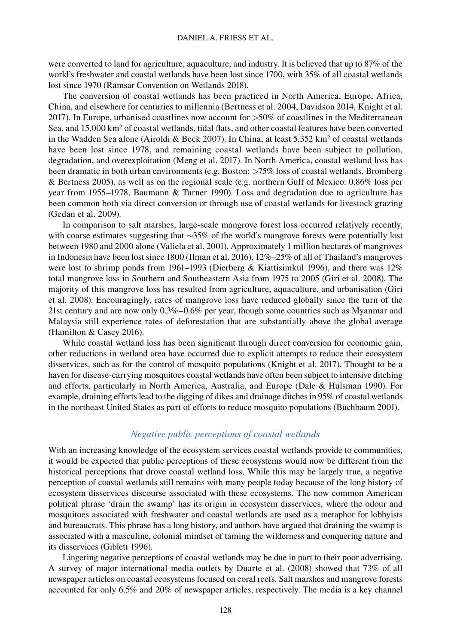were converted to land for agriculture, aquaculture, and industry. It is believed that up to 87% of the world's freshwater and coastal wetlands have been lost since 1700, with 35% of all coastal wetlands lost since 1970 (Ramsar Convention on Wetlands 2018).

The conversion of coastal wetlands has been practiced in North America, Europe, Africa, China, and elsewhere for centuries to millennia (Bertness et al. 2004, Davidson 2014, Knight et al. 2017). In Europe, urbanised coastlines now account for >50% of coastlines in the Mediterranean Sea, and 15,000 km<sup>2</sup> of coastal wetlands, tidal flats, and other coastal features have been converted in the Wadden Sea alone (Airoldi & Beck 2007). In China, at least  $5,352 \text{ km}^2$  of coastal wetlands have been lost since 1978, and remaining coastal wetlands have been subject to pollution, degradation, and overexploitation (Meng et al. 2017). In North America, coastal wetland loss has been dramatic in both urban environments (e.g. Boston: >75% loss of coastal wetlands, Bromberg & Bertness 2005), as well as on the regional scale (e.g. northern Gulf of Mexico: 0.86% loss per year from 1955–1978, Baumann & Turner 1990). Loss and degradation due to agriculture has been common both via direct conversion or through use of coastal wetlands for livestock grazing (Gedan et al. 2009).

In comparison to salt marshes, large-scale mangrove forest loss occurred relatively recently, with coarse estimates suggesting that ∼35% of the world's mangrove forests were potentially lost between 1980 and 2000 alone (Valiela et al. 2001). Approximately 1 million hectares of mangroves in Indonesia have been lost since 1800 (Ilman et al. 2016), 12%–25% of all of Thailand's mangroves were lost to shrimp ponds from 1961–1993 (Dierberg & Kiattisimkul 1996), and there was 12% total mangrove loss in Southern and Southeastern Asia from 1975 to 2005 (Giri et al. 2008). The majority of this mangrove loss has resulted from agriculture, aquaculture, and urbanisation (Giri et al. 2008). Encouragingly, rates of mangrove loss have reduced globally since the turn of the 21st century and are now only 0.3%–0.6% per year, though some countries such as Myanmar and Malaysia still experience rates of deforestation that are substantially above the global average (Hamilton & Casey 2016).

While coastal wetland loss has been significant through direct conversion for economic gain, other reductions in wetland area have occurred due to explicit attempts to reduce their ecosystem disservices, such as for the control of mosquito populations (Knight et al. 2017). Thought to be a haven for disease-carrying mosquitoes coastal wetlands have often been subject to intensive ditching and efforts, particularly in North America, Australia, and Europe (Dale & Hulsman 1990). For example, draining efforts lead to the digging of dikes and drainage ditches in 95% of coastal wetlands in the northeast United States as part of efforts to reduce mosquito populations (Buchbaum 2001).

#### *Negative public perceptions of coastal wetlands*

With an increasing knowledge of the ecosystem services coastal wetlands provide to communities, it would be expected that public perceptions of these ecosystems would now be different from the historical perceptions that drove coastal wetland loss. While this may be largely true, a negative perception of coastal wetlands still remains with many people today because of the long history of ecosystem disservices discourse associated with these ecosystems. The now common American political phrase 'drain the swamp' has its origin in ecosystem disservices, where the odour and mosquitoes associated with freshwater and coastal wetlands are used as a metaphor for lobbyists and bureaucrats. This phrase has a long history, and authors have argued that draining the swamp is associated with a masculine, colonial mindset of taming the wilderness and conquering nature and its disservices (Giblett 1996).

Lingering negative perceptions of coastal wetlands may be due in part to their poor advertising. A survey of major international media outlets by Duarte et al. (2008) showed that 73% of all newspaper articles on coastal ecosystems focused on coral reefs. Salt marshes and mangrove forests accounted for only 6.5% and 20% of newspaper articles, respectively. The media is a key channel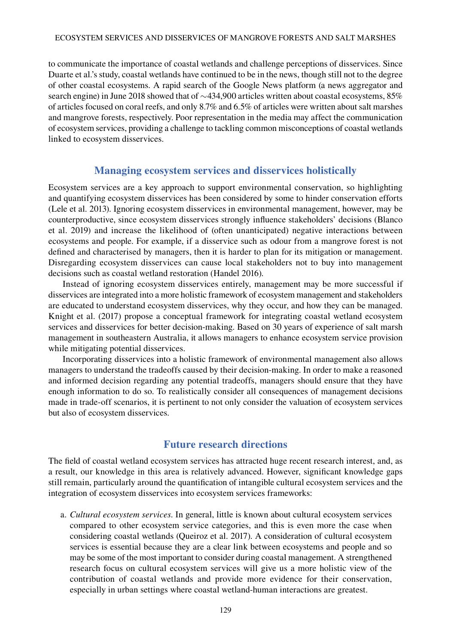#### Ecosystem services and disservices of mangrove forests and salt marshes

to communicate the importance of coastal wetlands and challenge perceptions of disservices. Since Duarte et al.'s study, coastal wetlands have continued to be in the news, though still not to the degree of other coastal ecosystems. A rapid search of the Google News platform (a news aggregator and search engine) in June 2018 showed that of ∼434,900 articles written about coastal ecosystems, 85% of articles focused on coral reefs, and only 8.7% and 6.5% of articles were written about salt marshes and mangrove forests, respectively. Poor representation in the media may affect the communication of ecosystem services, providing a challenge to tackling common misconceptions of coastal wetlands linked to ecosystem disservices.

#### **Managing ecosystem services and disservices holistically**

Ecosystem services are a key approach to support environmental conservation, so highlighting and quantifying ecosystem disservices has been considered by some to hinder conservation efforts (Lele et al. 2013). Ignoring ecosystem disservices in environmental management, however, may be counterproductive, since ecosystem disservices strongly influence stakeholders' decisions (Blanco et al. 2019) and increase the likelihood of (often unanticipated) negative interactions between ecosystems and people. For example, if a disservice such as odour from a mangrove forest is not defined and characterised by managers, then it is harder to plan for its mitigation or management. Disregarding ecosystem disservices can cause local stakeholders not to buy into management decisions such as coastal wetland restoration (Handel 2016).

Instead of ignoring ecosystem disservices entirely, management may be more successful if disservices are integrated into a more holistic framework of ecosystem management and stakeholders are educated to understand ecosystem disservices, why they occur, and how they can be managed. Knight et al. (2017) propose a conceptual framework for integrating coastal wetland ecosystem services and disservices for better decision-making. Based on 30 years of experience of salt marsh management in southeastern Australia, it allows managers to enhance ecosystem service provision while mitigating potential disservices.

Incorporating disservices into a holistic framework of environmental management also allows managers to understand the tradeoffs caused by their decision-making. In order to make a reasoned and informed decision regarding any potential tradeoffs, managers should ensure that they have enough information to do so. To realistically consider all consequences of management decisions made in trade-off scenarios, it is pertinent to not only consider the valuation of ecosystem services but also of ecosystem disservices.

### **Future research directions**

The field of coastal wetland ecosystem services has attracted huge recent research interest, and, as a result, our knowledge in this area is relatively advanced. However, significant knowledge gaps still remain, particularly around the quantification of intangible cultural ecosystem services and the integration of ecosystem disservices into ecosystem services frameworks:

a. *Cultural ecosystem services*. In general, little is known about cultural ecosystem services compared to other ecosystem service categories, and this is even more the case when considering coastal wetlands (Queiroz et al. 2017). A consideration of cultural ecosystem services is essential because they are a clear link between ecosystems and people and so may be some of the most important to consider during coastal management. A strengthened research focus on cultural ecosystem services will give us a more holistic view of the contribution of coastal wetlands and provide more evidence for their conservation, especially in urban settings where coastal wetland-human interactions are greatest.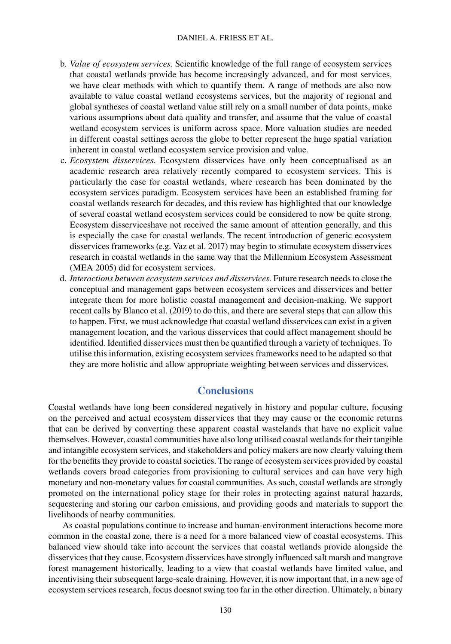- b. *Value of ecosystem services.* Scientific knowledge of the full range of ecosystem services that coastal wetlands provide has become increasingly advanced, and for most services, we have clear methods with which to quantify them. A range of methods are also now available to value coastal wetland ecosystems services, but the majority of regional and global syntheses of coastal wetland value still rely on a small number of data points, make various assumptions about data quality and transfer, and assume that the value of coastal wetland ecosystem services is uniform across space. More valuation studies are needed in different coastal settings across the globe to better represent the huge spatial variation inherent in coastal wetland ecosystem service provision and value.
- c. *Ecosystem disservices*. Ecosystem disservices have only been conceptualised as an academic research area relatively recently compared to ecosystem services. This is particularly the case for coastal wetlands, where research has been dominated by the ecosystem services paradigm. Ecosystem services have been an established framing for coastal wetlands research for decades, and this review has highlighted that our knowledge of several coastal wetland ecosystem services could be considered to now be quite strong. Ecosystem disserviceshave not received the same amount of attention generally, and this is especially the case for coastal wetlands. The recent introduction of generic ecosystem disservices frameworks (e.g. Vaz et al. 2017) may begin to stimulate ecosystem disservices research in coastal wetlands in the same way that the Millennium Ecosystem Assessment (MEA 2005) did for ecosystem services.
- d. *Interactions between ecosystem services and disservices.* Future research needs to close the conceptual and management gaps between ecosystem services and disservices and better integrate them for more holistic coastal management and decision-making. We support recent calls by Blanco et al. (2019) to do this, and there are several steps that can allow this to happen. First, we must acknowledge that coastal wetland disservices can exist in a given management location, and the various disservices that could affect management should be identified. Identified disservices must then be quantified through a variety of techniques. To utilise this information, existing ecosystem services frameworks need to be adapted so that they are more holistic and allow appropriate weighting between services and disservices.

### **Conclusions**

Coastal wetlands have long been considered negatively in history and popular culture, focusing on the perceived and actual ecosystem disservices that they may cause or the economic returns that can be derived by converting these apparent coastal wastelands that have no explicit value themselves. However, coastal communities have also long utilised coastal wetlands for their tangible and intangible ecosystem services, and stakeholders and policy makers are now clearly valuing them for the benefits they provide to coastal societies. The range of ecosystem services provided by coastal wetlands covers broad categories from provisioning to cultural services and can have very high monetary and non-monetary values for coastal communities. As such, coastal wetlands are strongly promoted on the international policy stage for their roles in protecting against natural hazards, sequestering and storing our carbon emissions, and providing goods and materials to support the livelihoods of nearby communities.

As coastal populations continue to increase and human-environment interactions become more common in the coastal zone, there is a need for a more balanced view of coastal ecosystems. This balanced view should take into account the services that coastal wetlands provide alongside the disservices that they cause. Ecosystem disservices have strongly influenced salt marsh and mangrove forest management historically, leading to a view that coastal wetlands have limited value, and incentivising their subsequent large-scale draining. However, it is now important that, in a new age of ecosystem services research, focus doesnot swing too far in the other direction. Ultimately, a binary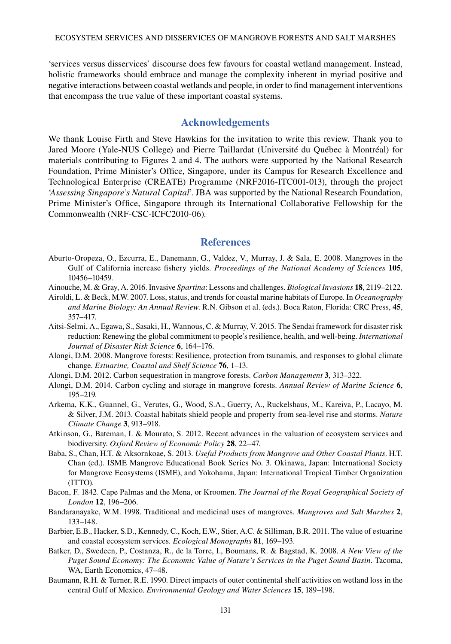'services versus disservices' discourse does few favours for coastal wetland management. Instead, holistic frameworks should embrace and manage the complexity inherent in myriad positive and negative interactions between coastal wetlands and people, in order to find management interventions that encompass the true value of these important coastal systems.

#### **Acknowledgements**

We thank Louise Firth and Steve Hawkins for the invitation to write this review. Thank you to Jared Moore (Yale-NUS College) and Pierre Taillardat (Université du Québec à Montréal) for materials contributing to Figures 2 and 4. The authors were supported by the National Research Foundation, Prime Minister's Office, Singapore, under its Campus for Research Excellence and Technological Enterprise (CREATE) Programme (NRF2016-ITC001-013), through the project '*Assessing Singapore's Natural Capital*'. JBA was supported by the National Research Foundation, Prime Minister's Office, Singapore through its International Collaborative Fellowship for the Commonwealth (NRF-CSC-ICFC2010-06).

#### **References**

- Aburto-Oropeza, O., Ezcurra, E., Danemann, G., Valdez, V., Murray, J. & Sala, E. 2008. Mangroves in the Gulf of California increase fishery yields. *Proceedings of the National Academy of Sciences* **105**, 10456–10459.
- Ainouche, M. & Gray, A. 2016. Invasive *Spartina*: Lessons and challenges. *Biological Invasions* **18**, 2119–2122.
- Airoldi, L. & Beck, M.W. 2007. Loss, status, and trends for coastal marine habitats of Europe. In *Oceanography and Marine Biology: An Annual Review*. R.N. Gibson et al. (eds.). Boca Raton, Florida: CRC Press, **45**, 357–417.
- Aitsi-Selmi, A., Egawa, S., Sasaki, H., Wannous, C. & Murray, V. 2015. The Sendai framework for disaster risk reduction: Renewing the global commitment to people's resilience, health, and well-being. *International Journal of Disaster Risk Science* **6**, 164–176.
- Alongi, D.M. 2008. Mangrove forests: Resilience, protection from tsunamis, and responses to global climate change. *Estuarine, Coastal and Shelf Science* **76**, 1–13.
- Alongi, D.M. 2012. Carbon sequestration in mangrove forests. *Carbon Management* **3**, 313–322.
- Alongi, D.M. 2014. Carbon cycling and storage in mangrove forests. *Annual Review of Marine Science* **6**, 195–219.
- Arkema, K.K., Guannel, G., Verutes, G., Wood, S.A., Guerry, A., Ruckelshaus, M., Kareiva, P., Lacayo, M. & Silver, J.M. 2013. Coastal habitats shield people and property from sea-level rise and storms. *Nature Climate Change* **3**, 913–918.
- Atkinson, G., Bateman, I. & Mourato, S. 2012. Recent advances in the valuation of ecosystem services and biodiversity. *Oxford Review of Economic Policy* **28**, 22–47.
- Baba, S., Chan, H.T. & Aksornkoae, S. 2013. *Useful Products from Mangrove and Other Coastal Plants*. H.T. Chan (ed.). ISME Mangrove Educational Book Series No. 3. Okinawa, Japan: International Society for Mangrove Ecosystems (ISME), and Yokohama, Japan: International Tropical Timber Organization (ITTO).
- Bacon, F. 1842. Cape Palmas and the Mena, or Kroomen. *The Journal of the Royal Geographical Society of London* **12**, 196–206.
- Bandaranayake, W.M. 1998. Traditional and medicinal uses of mangroves. *Mangroves and Salt Marshes* **2**, 133–148.
- Barbier, E.B., Hacker, S.D., Kennedy, C., Koch, E.W., Stier, A.C. & Silliman, B.R. 2011. The value of estuarine and coastal ecosystem services. *Ecological Monographs* **81**, 169–193.
- Batker, D., Swedeen, P., Costanza, R., de la Torre, I., Boumans, R. & Bagstad, K. 2008. *A New View of the Puget Sound Economy: The Economic Value of Nature's Services in the Puget Sound Basin*. Tacoma, WA, Earth Economics, 47–48.
- Baumann, R.H. & Turner, R.E. 1990. Direct impacts of outer continental shelf activities on wetland loss in the central Gulf of Mexico. *Environmental Geology and Water Sciences* **15**, 189–198.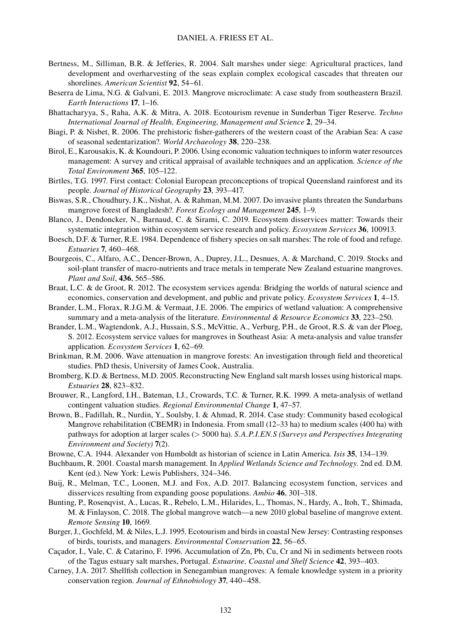- Bertness, M., Silliman, B.R. & Jefferies, R. 2004. Salt marshes under siege: Agricultural practices, land development and overharvesting of the seas explain complex ecological cascades that threaten our shorelines. *American Scientist* **92**, 54–61.
- Beserra de Lima, N.G. & Galvani, E. 2013. Mangrove microclimate: A case study from southeastern Brazil. *Earth Interactions* **17**, 1–16.
- Bhattacharyya, S., Raha, A.K. & Mitra, A. 2018. Ecotourism revenue in Sunderban Tiger Reserve. *Techno International Journal of Health, Engineering*, *Management and Science* **2**, 29–34.
- Biagi, P. & Nisbet, R. 2006. The prehistoric fisher-gatherers of the western coast of the Arabian Sea: A case of seasonal sedentarization?. *World Archaeology* **38**, 220–238.
- Birol, E., Karousakis, K. & Koundouri, P. 2006. Using economic valuation techniques to inform water resources management: A survey and critical appraisal of available techniques and an application. *Science of the Total Environment* **365**, 105–122.
- Birtles, T.G. 1997. First contact: Colonial European preconceptions of tropical Queensland rainforest and its people. *Journal of Historical Geography* **23**, 393–417.
- Biswas, S.R., Choudhury, J.K., Nishat, A. & Rahman, M.M. 2007. Do invasive plants threaten the Sundarbans mangrove forest of Bangladesh?. *Forest Ecology and Management* **245**, 1–9.
- Blanco, J., Dendoncker, N., Barnaud, C. & Sirami, C. 2019. Ecosystem disservices matter: Towards their systematic integration within ecosystem service research and policy. *Ecosystem Services* **36**, 100913.
- Boesch, D.F. & Turner, R.E. 1984. Dependence of fishery species on salt marshes: The role of food and refuge. *Estuaries* **7**, 460–468.
- Bourgeois, C., Alfaro, A.C., Dencer-Brown, A., Duprey, J.L., Desnues, A. & Marchand, C. 2019. Stocks and soil-plant transfer of macro-nutrients and trace metals in temperate New Zealand estuarine mangroves. *Plant and Soil*, **436**, 565–586.
- Braat, L.C. & de Groot, R. 2012. The ecosystem services agenda: Bridging the worlds of natural science and economics, conservation and development, and public and private policy. *Ecosystem Services* **1**, 4–15.
- Brander, L.M., Florax, R.J.G.M. & Vermaat, J.E. 2006. The empirics of wetland valuation: A comprehensive summary and a meta-analysis of the literature. *Environmental & Resource Economics* **33**, 223–250.
- Brander, L.M., Wagtendonk, A.J., Hussain, S.S., McVittie, A., Verburg, P.H., de Groot, R.S. & van der Ploeg, S. 2012. Ecosystem service values for mangroves in Southeast Asia: A meta-analysis and value transfer application. *Ecosystem Services* **1**, 62–69.
- Brinkman, R.M. 2006. Wave attenuation in mangrove forests: An investigation through field and theoretical studies. PhD thesis, University of James Cook, Australia.
- Bromberg, K.D. & Bertness, M.D. 2005. Reconstructing New England salt marsh losses using historical maps. *Estuaries* **28**, 823–832.
- Brouwer, R., Langford, I.H., Bateman, I.J., Crowards, T.C. & Turner, R.K. 1999. A meta-analysis of wetland contingent valuation studies. *Regional Environmental Change* **1**, 47–57.
- Brown, B., Fadillah, R., Nurdin, Y., Soulsby, I. & Ahmad, R. 2014. Case study: Community based ecological Mangrove rehabilitation (CBEMR) in Indonesia. From small (12–33 ha) to medium scales (400 ha) with pathways for adoption at larger scales (> 5000 ha). *S.A.P.I.EN.S (Surveys and Perspectives Integrating Environment and Society)* **7**(2).
- Browne, C.A. 1944. Alexander von Humboldt as historian of science in Latin America. *Isis* **35**, 134–139.
- Buchbaum, R. 2001. Coastal marsh management. In *Applied Wetlands Science and Technology*. 2nd ed. D.M. Kent (ed.). New York: Lewis Publishers, 324–346.
- Buij, R., Melman, T.C., Loonen, M.J. and Fox, A.D. 2017. Balancing ecosystem function, services and disservices resulting from expanding goose populations. *Ambio* **46**, 301–318.
- Bunting, P., Rosenqvist, A., Lucas, R., Rebelo, L.M., Hilarides, L., Thomas, N., Hardy, A., Itoh, T., Shimada, M. & Finlayson, C. 2018. The global mangrove watch—a new 2010 global baseline of mangrove extent. *Remote Sensing* **10**, 1669.
- Burger, J., Gochfeld, M. & Niles, L.J. 1995. Ecotourism and birds in coastal New Jersey: Contrasting responses of birds, tourists, and managers. *Environmental Conservation* **22**, 56–65.
- Caçador, I., Vale, C. & Catarino, F. 1996. Accumulation of Zn, Pb, Cu, Cr and Ni in sediments between roots of the Tagus estuary salt marshes, Portugal. *Estuarine, Coastal and Shelf Science* **42**, 393–403.
- Carney, J.A. 2017. Shellfish collection in Senegambian mangroves: A female knowledge system in a priority conservation region. *Journal of Ethnobiology* **37**, 440–458.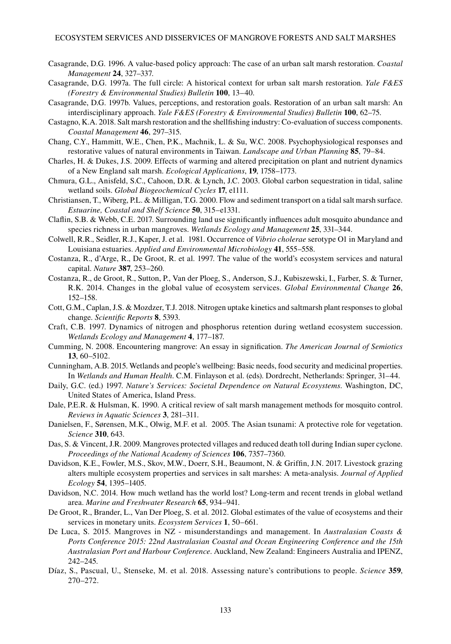- Casagrande, D.G. 1996. A value-based policy approach: The case of an urban salt marsh restoration. *Coastal Management* **24**, 327–337.
- Casagrande, D.G. 1997a. The full circle: A historical context for urban salt marsh restoration. *Yale F&ES (Forestry & Environmental Studies) Bulletin* **100**, 13–40.
- Casagrande, D.G. 1997b. Values, perceptions, and restoration goals. Restoration of an urban salt marsh: An interdisciplinary approach. *Yale F&ES (Forestry & Environmental Studies) Bulletin* **100**, 62–75.
- Castagno, K.A. 2018. Salt marsh restoration and the shellfishing industry: Co-evaluation of success components. *Coastal Management* **46**, 297–315.
- Chang, C.Y., Hammitt, W.E., Chen, P.K., Machnik, L. & Su, W.C. 2008. Psychophysiological responses and restorative values of natural environments in Taiwan. *Landscape and Urban Planning* **85**, 79–84.
- Charles, H. & Dukes, J.S. 2009. Effects of warming and altered precipitation on plant and nutrient dynamics of a New England salt marsh. *Ecological Applications*, **19**, 1758–1773.
- Chmura, G.L., Anisfeld, S.C., Cahoon, D.R. & Lynch, J.C. 2003. Global carbon sequestration in tidal, saline wetland soils. *Global Biogeochemical Cycles* **17**, e1111.
- Christiansen, T., Wiberg, P.L. & Milligan, T.G. 2000. Flow and sediment transport on a tidal salt marsh surface. *Estuarine, Coastal and Shelf Science* **50**, 315–e1331.
- Claflin, S.B. & Webb, C.E. 2017. Surrounding land use significantly influences adult mosquito abundance and species richness in urban mangroves. *Wetlands Ecology and Management* **25**, 331–344.
- Colwell, R.R., Seidler, R.J., Kaper, J. et al. 1981. Occurrence of *Vibrio cholerae* serotype O1 in Maryland and Louisiana estuaries. *Applied and Environmental Microbiology* **41**, 555–558.
- Costanza, R., d'Arge, R., De Groot, R. et al. 1997. The value of the world's ecosystem services and natural capital. *Nature* **387**, 253–260.
- Costanza, R., de Groot, R., Sutton, P., Van der Ploeg, S., Anderson, S.J., Kubiszewski, I., Farber, S. & Turner, R.K. 2014. Changes in the global value of ecosystem services. *Global Environmental Change* **26**, 152–158.
- Cott, G.M., Caplan, J.S. & Mozdzer, T.J. 2018. Nitrogen uptake kinetics and saltmarsh plant responses to global change. *Scientific Reports* **8**, 5393.
- Craft, C.B. 1997. Dynamics of nitrogen and phosphorus retention during wetland ecosystem succession. *Wetlands Ecology and Management* **4**, 177–187.
- Cumming, N. 2008. Encountering mangrove: An essay in signification. *The American Journal of Semiotics* **13**, 60–5102.
- Cunningham, A.B. 2015. Wetlands and people's wellbeing: Basic needs, food security and medicinal properties. In *Wetlands and Human Health*. C.M. Finlayson et al. (eds). Dordrecht, Netherlands: Springer, 31–44.
- Daily, G.C. (ed.) 1997. *Nature's Services: Societal Dependence on Natural Ecosystems*. Washington, DC, United States of America, Island Press.
- Dale, P.E.R. & Hulsman, K. 1990. A critical review of salt marsh management methods for mosquito control. *Reviews in Aquatic Sciences* **3**, 281–311.
- Danielsen, F., Sørensen, M.K., Olwig, M.F. et al. 2005. The Asian tsunami: A protective role for vegetation. *Science* **310**, 643.
- Das, S. & Vincent, J.R. 2009. Mangroves protected villages and reduced death toll during Indian super cyclone. *Proceedings of the National Academy of Sciences* **106**, 7357–7360.
- Davidson, K.E., Fowler, M.S., Skov, M.W., Doerr, S.H., Beaumont, N. & Griffin, J.N. 2017. Livestock grazing alters multiple ecosystem properties and services in salt marshes: A meta-analysis. *Journal of Applied Ecology* **54**, 1395–1405.
- Davidson, N.C. 2014. How much wetland has the world lost? Long-term and recent trends in global wetland area. *Marine and Freshwater Research* **65**, 934–941.
- De Groot, R., Brander, L., Van Der Ploeg, S. et al. 2012. Global estimates of the value of ecosystems and their services in monetary units. *Ecosystem Services* **1**, 50–661.
- De Luca, S. 2015. Mangroves in NZ misunderstandings and management. In *Australasian Coasts & Ports Conference 2015: 22nd Australasian Coastal and Ocean Engineering Conference and the 15th Australasian Port and Harbour Conference*. Auckland, New Zealand: Engineers Australia and IPENZ, 242–245.
- Díaz, S., Pascual, U., Stenseke, M. et al. 2018. Assessing nature's contributions to people. *Science* **359**, 270–272.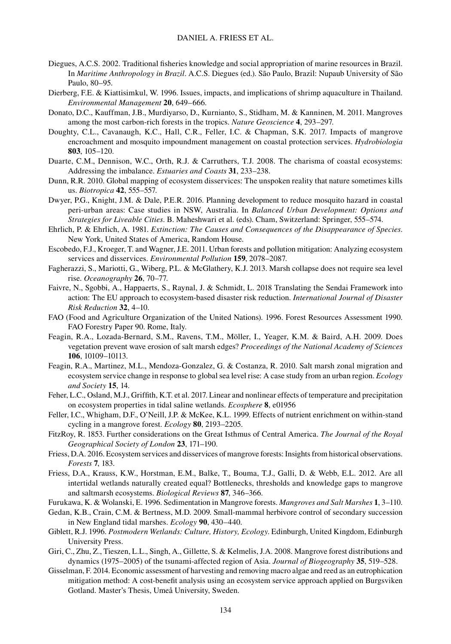- Diegues, A.C.S. 2002. Traditional fisheries knowledge and social appropriation of marine resources in Brazil. In *Maritime Anthropology in Brazil*. A.C.S. Diegues (ed.). São Paulo, Brazil: Nupaub University of São Paulo, 80–95.
- Dierberg, F.E. & Kiattisimkul, W. 1996. Issues, impacts, and implications of shrimp aquaculture in Thailand. *Environmental Management* **20**, 649–666.
- Donato, D.C., Kauffman, J.B., Murdiyarso, D., Kurnianto, S., Stidham, M. & Kanninen, M. 2011. Mangroves among the most carbon-rich forests in the tropics. *Nature Geoscience* **4**, 293–297.
- Doughty, C.L., Cavanaugh, K.C., Hall, C.R., Feller, I.C. & Chapman, S.K. 2017. Impacts of mangrove encroachment and mosquito impoundment management on coastal protection services. *Hydrobiologia* **803**, 105–120.
- Duarte, C.M., Dennison, W.C., Orth, R.J. & Carruthers, T.J. 2008. The charisma of coastal ecosystems: Addressing the imbalance. *Estuaries and Coasts* **31**, 233–238.
- Dunn, R.R. 2010. Global mapping of ecosystem disservices: The unspoken reality that nature sometimes kills us. *Biotropica* **42**, 555–557.
- Dwyer, P.G., Knight, J.M. & Dale, P.E.R. 2016. Planning development to reduce mosquito hazard in coastal peri-urban areas: Case studies in NSW, Australia. In *Balanced Urban Development: Options and Strategies for Liveable Cities*. B. Maheshwari et al. (eds). Cham, Switzerland: Springer, 555–574.
- Ehrlich, P. & Ehrlich, A. 1981. *Extinction: The Causes and Consequences of the Disappearance of Species*. New York, United States of America, Random House.
- Escobedo, F.J., Kroeger, T. and Wagner, J.E. 2011. Urban forests and pollution mitigation: Analyzing ecosystem services and disservices. *Environmental Pollution* **159**, 2078–2087.
- Fagherazzi, S., Mariotti, G., Wiberg, P.L. & McGlathery, K.J. 2013. Marsh collapse does not require sea level rise. *Oceanography* **26**, 70–77.
- Faivre, N., Sgobbi, A., Happaerts, S., Raynal, J. & Schmidt, L. 2018 Translating the Sendai Framework into action: The EU approach to ecosystem-based disaster risk reduction. *International Journal of Disaster Risk Reduction* **32**, 4–10.
- FAO (Food and Agriculture Organization of the United Nations). 1996. Forest Resources Assessment 1990. FAO Forestry Paper 90. Rome, Italy.
- Feagin, R.A., Lozada-Bernard, S.M., Ravens, T.M., Möller, I., Yeager, K.M. & Baird, A.H. 2009. Does vegetation prevent wave erosion of salt marsh edges? *Proceedings of the National Academy of Sciences* **106**, 10109–10113.
- Feagin, R.A., Martinez, M.L., Mendoza-Gonzalez, G. & Costanza, R. 2010. Salt marsh zonal migration and ecosystem service change in response to global sea level rise: A case study from an urban region. *Ecology and Society* **15**, 14.
- Feher, L.C., Osland, M.J., Griffith, K.T. et al. 2017. Linear and nonlinear effects of temperature and precipitation on ecosystem properties in tidal saline wetlands. *Ecosphere* **8**, e01956
- Feller, I.C., Whigham, D.F., O'Neill, J.P. & McKee, K.L. 1999. Effects of nutrient enrichment on within-stand cycling in a mangrove forest. *Ecology* **80**, 2193–2205.
- FitzRoy, R. 1853. Further considerations on the Great Isthmus of Central America. *The Journal of the Royal Geographical Society of London* **23**, 171–190.
- Friess, D.A. 2016. Ecosystem services and disservices of mangrove forests: Insights from historical observations. *Forests* **7**, 183.
- Friess, D.A., Krauss, K.W., Horstman, E.M., Balke, T., Bouma, T.J., Galli, D. & Webb, E.L. 2012. Are all intertidal wetlands naturally created equal? Bottlenecks, thresholds and knowledge gaps to mangrove and saltmarsh ecosystems. *Biological Reviews* **87**, 346–366.
- Furukawa, K. & Wolanski, E. 1996. Sedimentation in Mangrove forests. *Mangroves and Salt Marshes* **1**, 3–110.
- Gedan, K.B., Crain, C.M. & Bertness, M.D. 2009. Small-mammal herbivore control of secondary succession in New England tidal marshes. *Ecology* **90**, 430–440.
- Giblett, R.J. 1996. *Postmodern Wetlands: Culture, History, Ecology*. Edinburgh, United Kingdom, Edinburgh University Press.
- Giri, C., Zhu, Z., Tieszen, L.L., Singh, A., Gillette, S. & Kelmelis, J.A. 2008. Mangrove forest distributions and dynamics (1975–2005) of the tsunami-affected region of Asia. *Journal of Biogeography* **35**, 519–528.
- Gisselman, F. 2014. Economic assessment of harvesting and removing macro algae and reed as an eutrophication mitigation method: A cost-benefit analysis using an ecosystem service approach applied on Burgsviken Gotland. Master's Thesis, Umeå University, Sweden.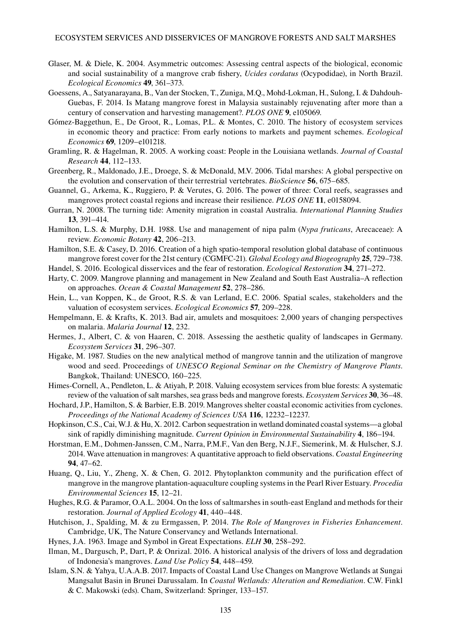- Glaser, M. & Diele, K. 2004. Asymmetric outcomes: Assessing central aspects of the biological, economic and social sustainability of a mangrove crab fishery, *Ucides cordatus* (Ocypodidae), in North Brazil. *Ecological Economics* **49**, 361–373.
- Goessens, A., Satyanarayana, B., Van der Stocken, T., Zuniga, M.Q., Mohd-Lokman, H., Sulong, I. & Dahdouh-Guebas, F. 2014. Is Matang mangrove forest in Malaysia sustainably rejuvenating after more than a century of conservation and harvesting management?. *PLOS ONE* **9**, e105069.
- Gómez-Baggethun, E., De Groot, R., Lomas, P.L. & Montes, C. 2010. The history of ecosystem services in economic theory and practice: From early notions to markets and payment schemes. *Ecological Economics* **69**, 1209–e101218.
- Gramling, R. & Hagelman, R. 2005. A working coast: People in the Louisiana wetlands. *Journal of Coastal Research* **44**, 112–133.
- Greenberg, R., Maldonado, J.E., Droege, S. & McDonald, M.V. 2006. Tidal marshes: A global perspective on the evolution and conservation of their terrestrial vertebrates. *BioScience* **56**, 675–685.
- Guannel, G., Arkema, K., Ruggiero, P. & Verutes, G. 2016. The power of three: Coral reefs, seagrasses and mangroves protect coastal regions and increase their resilience. *PLOS ONE* **11**, e0158094.
- Gurran, N. 2008. The turning tide: Amenity migration in coastal Australia. *International Planning Studies* **13**, 391–414.
- Hamilton, L.S. & Murphy, D.H. 1988. Use and management of nipa palm (*Nypa fruticans*, Arecaceae): A review. *Economic Botany* **42**, 206–213.
- Hamilton, S.E. & Casey, D. 2016. Creation of a high spatio-temporal resolution global database of continuous mangrove forest cover for the 21st century (CGMFC-21). *Global Ecology and Biogeography* **25**, 729–738.
- Handel, S. 2016. Ecological disservices and the fear of restoration. *Ecological Restoration* **34**, 271–272.
- Harty, C. 2009. Mangrove planning and management in New Zealand and South East Australia–A reflection on approaches. *Ocean & Coastal Management* **52**, 278–286.
- Hein, L., van Koppen, K., de Groot, R.S. & van Lerland, E.C. 2006. Spatial scales, stakeholders and the valuation of ecosystem services. *Ecological Economics* **57**, 209–228.
- Hempelmann, E. & Krafts, K. 2013. Bad air, amulets and mosquitoes: 2,000 years of changing perspectives on malaria. *Malaria Journal* **12**, 232.
- Hermes, J., Albert, C. & von Haaren, C. 2018. Assessing the aesthetic quality of landscapes in Germany. *Ecosystem Services* **31**, 296–307.
- Higake, M. 1987. Studies on the new analytical method of mangrove tannin and the utilization of mangrove wood and seed. Proceedings of *UNESCO Regional Seminar on the Chemistry of Mangrove Plants*. Bangkok, Thailand: UNESCO, 160–225.
- Himes-Cornell, A., Pendleton, L. & Atiyah, P. 2018. Valuing ecosystem services from blue forests: A systematic review of the valuation of salt marshes, sea grass beds and mangrove forests. *Ecosystem Services* **30**, 36–48.
- Hochard, J.P., Hamilton, S. & Barbier, E.B. 2019. Mangroves shelter coastal economic activities from cyclones. *Proceedings of the National Academy of Sciences USA* **116**, 12232–12237.
- Hopkinson, C.S., Cai, W.J. & Hu, X. 2012. Carbon sequestration in wetland dominated coastal systems—a global sink of rapidly diminishing magnitude. *Current Opinion in Environmental Sustainability* **4**, 186–194.
- Horstman, E.M., Dohmen-Janssen, C.M., Narra, P.M.F., Van den Berg, N.J.F., Siemerink, M. & Hulscher, S.J. 2014. Wave attenuation in mangroves: A quantitative approach to field observations. *Coastal Engineering* **94**, 47–62.
- Huang, Q., Liu, Y., Zheng, X. & Chen, G. 2012. Phytoplankton community and the purification effect of mangrove in the mangrove plantation-aquaculture coupling systems in the Pearl River Estuary. *Procedia Environmental Sciences* **15**, 12–21.
- Hughes, R.G. & Paramor, O.A.L. 2004. On the loss of saltmarshes in south-east England and methods for their restoration. *Journal of Applied Ecology* **41**, 440–448.
- Hutchison, J., Spalding, M. & zu Ermgassen, P. 2014. *The Role of Mangroves in Fisheries Enhancement*. Cambridge, UK, The Nature Conservancy and Wetlands International.
- Hynes, J.A. 1963. Image and Symbol in Great Expectations. *ELH* **30**, 258–292.
- Ilman, M., Dargusch, P., Dart, P. & Onrizal. 2016. A historical analysis of the drivers of loss and degradation of Indonesia's mangroves. *Land Use Policy* **54**, 448–459.
- Islam, S.N. & Yahya, U.A.A.B. 2017. Impacts of Coastal Land Use Changes on Mangrove Wetlands at Sungai Mangsalut Basin in Brunei Darussalam. In *Coastal Wetlands: Alteration and Remediation*. C.W. Finkl & C. Makowski (eds). Cham, Switzerland: Springer, 133–157.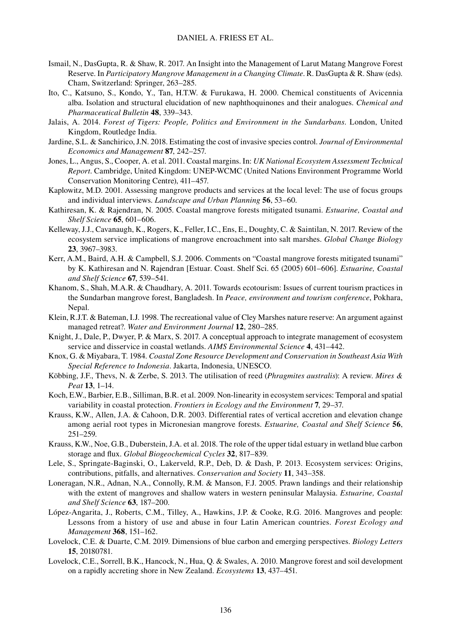- Ismail, N., DasGupta, R. & Shaw, R. 2017. An Insight into the Management of Larut Matang Mangrove Forest Reserve. In *Participatory Mangrove Management in a Changing Climate*. R. DasGupta & R. Shaw (eds). Cham, Switzerland: Springer, 263–285.
- Ito, C., Katsuno, S., Kondo, Y., Tan, H.T.W. & Furukawa, H. 2000. Chemical constituents of Avicennia alba. Isolation and structural elucidation of new naphthoquinones and their analogues. *Chemical and Pharmaceutical Bulletin* **48**, 339–343.
- Jalais, A. 2014. *Forest of Tigers: People, Politics and Environment in the Sundarbans*. London, United Kingdom, Routledge India.
- Jardine, S.L. & Sanchirico, J.N. 2018. Estimating the cost of invasive species control. *Journal of Environmental Economics and Management* **87**, 242–257.
- Jones, L., Angus, S., Cooper, A. et al. 2011. Coastal margins. In: *UK National Ecosystem Assessment Technical Report*. Cambridge, United Kingdom: UNEP-WCMC (United Nations Environment Programme World Conservation Monitoring Centre), 411–457.
- Kaplowitz, M.D. 2001. Assessing mangrove products and services at the local level: The use of focus groups and individual interviews. *Landscape and Urban Planning* **56**, 53–60.
- Kathiresan, K. & Rajendran, N. 2005. Coastal mangrove forests mitigated tsunami. *Estuarine, Coastal and Shelf Science* **65**, 601–606.
- Kelleway, J.J., Cavanaugh, K., Rogers, K., Feller, I.C., Ens, E., Doughty, C. & Saintilan, N. 2017. Review of the ecosystem service implications of mangrove encroachment into salt marshes. *Global Change Biology* **23**, 3967–3983.
- Kerr, A.M., Baird, A.H. & Campbell, S.J. 2006. Comments on "Coastal mangrove forests mitigated tsunami" by K. Kathiresan and N. Rajendran [Estuar. Coast. Shelf Sci. 65 (2005) 601–606]. *Estuarine, Coastal and Shelf Science* **67**, 539–541.
- Khanom, S., Shah, M.A.R. & Chaudhary, A. 2011. Towards ecotourism: Issues of current tourism practices in the Sundarban mangrove forest, Bangladesh. In *Peace, environment and tourism conference*, Pokhara, Nepal.
- Klein, R.J.T. & Bateman, I.J. 1998. The recreational value of Cley Marshes nature reserve: An argument against managed retreat?. *Water and Environment Journal* **12**, 280–285.
- Knight, J., Dale, P., Dwyer, P. & Marx, S. 2017. A conceptual approach to integrate management of ecosystem service and disservice in coastal wetlands. *AIMS Environmental Science* **4**, 431–442.
- Knox, G. & Miyabara, T. 1984. *Coastal Zone Resource Development and Conservation in Southeast Asia With Special Reference to Indonesia*. Jakarta, Indonesia, UNESCO.
- Köbbing, J.F., Thevs, N. & Zerbe, S. 2013. The utilisation of reed (*Phragmites australis*): A review. *Mires & Peat* **13**, 1–14.
- Koch, E.W., Barbier, E.B., Silliman, B.R. et al. 2009. Non-linearity in ecosystem services: Temporal and spatial variability in coastal protection. *Frontiers in Ecology and the Environment* **7**, 29–37.
- Krauss, K.W., Allen, J.A. & Cahoon, D.R. 2003. Differential rates of vertical accretion and elevation change among aerial root types in Micronesian mangrove forests. *Estuarine, Coastal and Shelf Science* **56**, 251–259.
- Krauss, K.W., Noe, G.B., Duberstein, J.A. et al. 2018. The role of the upper tidal estuary in wetland blue carbon storage and flux. *Global Biogeochemical Cycles* **32**, 817–839.
- Lele, S., Springate-Baginski, O., Lakerveld, R.P., Deb, D. & Dash, P. 2013. Ecosystem services: Origins, contributions, pitfalls, and alternatives. *Conservation and Society* **11**, 343–358.
- Loneragan, N.R., Adnan, N.A., Connolly, R.M. & Manson, F.J. 2005. Prawn landings and their relationship with the extent of mangroves and shallow waters in western peninsular Malaysia. *Estuarine, Coastal and Shelf Science* **63**, 187–200.
- López-Angarita, J., Roberts, C.M., Tilley, A., Hawkins, J.P. & Cooke, R.G. 2016. Mangroves and people: Lessons from a history of use and abuse in four Latin American countries. *Forest Ecology and Management* **368**, 151–162.
- Lovelock, C.E. & Duarte, C.M. 2019. Dimensions of blue carbon and emerging perspectives. *Biology Letters* **15**, 20180781.
- Lovelock, C.E., Sorrell, B.K., Hancock, N., Hua, Q. & Swales, A. 2010. Mangrove forest and soil development on a rapidly accreting shore in New Zealand. *Ecosystems* **13**, 437–451.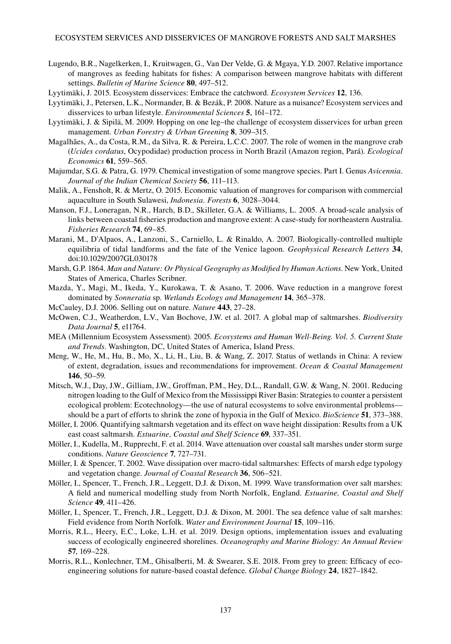- Lugendo, B.R., Nagelkerken, I., Kruitwagen, G., Van Der Velde, G. & Mgaya, Y.D. 2007. Relative importance of mangroves as feeding habitats for fishes: A comparison between mangrove habitats with different settings. *Bulletin of Marine Science* **80**, 497–512.
- Lyytimäki, J. 2015. Ecosystem disservices: Embrace the catchword. *Ecosystem Services* **12**, 136.
- Lyytimäki, J., Petersen, L.K., Normander, B. & Bezák, P. 2008. Nature as a nuisance? Ecosystem services and disservices to urban lifestyle. *Environmental Sciences* **5**, 161–172.
- Lyytimäki, J. & Sipilä, M. 2009. Hopping on one leg–the challenge of ecosystem disservices for urban green management. *Urban Forestry & Urban Greening* **8**, 309–315.
- Magalhães, A., da Costa, R.M., da Silva, R. & Pereira, L.C.C. 2007. The role of women in the mangrove crab (*Ucides cordatus*, Ocypodidae) production process in North Brazil (Amazon region, Pará). *Ecological Economics* **61**, 559–565.
- Majumdar, S.G. & Patra, G. 1979. Chemical investigation of some mangrove species. Part I. Genus *Avicennia*. *Journal of the Indian Chemical Society* **56**, 111–113.
- Malik, A., Fensholt, R. & Mertz, O. 2015. Economic valuation of mangroves for comparison with commercial aquaculture in South Sulawesi, *Indonesia. Forests* **6**, 3028–3044.
- Manson, F.J., Loneragan, N.R., Harch, B.D., Skilleter, G.A. & Williams, L. 2005. A broad-scale analysis of links between coastal fisheries production and mangrove extent: A case-study for northeastern Australia. *Fisheries Research* **74**, 69–85.
- Marani, M., D'Alpaos, A., Lanzoni, S., Carniello, L. & Rinaldo, A. 2007. Biologically-controlled multiple equilibria of tidal landforms and the fate of the Venice lagoon. *Geophysical Research Letters* **34**, doi:10.1029/2007GL030178
- Marsh, G.P. 1864. *Man and Nature: Or Physical Geography as Modified by Human Actions*. New York, United States of America, Charles Scribner.
- Mazda, Y., Magi, M., Ikeda, Y., Kurokawa, T. & Asano, T. 2006. Wave reduction in a mangrove forest dominated by *Sonneratia* sp. *Wetlands Ecology and Management* **14**, 365–378.
- McCauley, D.J. 2006. Selling out on nature. *Nature* **443**, 27–28.
- McOwen, C.J., Weatherdon, L.V., Van Bochove, J.W. et al. 2017. A global map of saltmarshes. *Biodiversity Data Journal* **5**, e11764.
- MEA (Millennium Ecosystem Assessment). 2005. *Ecosystems and Human Well-Being. Vol. 5. Current State and Trends*. Washington, DC, United States of America, Island Press.
- Meng, W., He, M., Hu, B., Mo, X., Li, H., Liu, B. & Wang, Z. 2017. Status of wetlands in China: A review of extent, degradation, issues and recommendations for improvement. *Ocean & Coastal Management* **146**, 50–59.
- Mitsch, W.J., Day, J.W., Gilliam, J.W., Groffman, P.M., Hey, D.L., Randall, G.W. & Wang, N. 2001. Reducing nitrogen loading to the Gulf of Mexico from the Mississippi River Basin: Strategies to counter a persistent ecological problem: Ecotechnology—the use of natural ecosystems to solve environmental problems should be a part of efforts to shrink the zone of hypoxia in the Gulf of Mexico. *BioScience* **51**, 373–388.
- Möller, I. 2006. Quantifying saltmarsh vegetation and its effect on wave height dissipation: Results from a UK east coast saltmarsh. *Estuarine, Coastal and Shelf Science* **69**, 337–351.
- Möller, I., Kudella, M., Rupprecht, F. et al. 2014. Wave attenuation over coastal salt marshes under storm surge conditions. *Nature Geoscience* **7**, 727–731.
- Möller, I. & Spencer, T. 2002. Wave dissipation over macro-tidal saltmarshes: Effects of marsh edge typology and vegetation change. *Journal of Coastal Research* **36**, 506–521.
- Möller, I., Spencer, T., French, J.R., Leggett, D.J. & Dixon, M. 1999. Wave transformation over salt marshes: A field and numerical modelling study from North Norfolk, England. *Estuarine, Coastal and Shelf Science* **49**, 411–426.
- Möller, I., Spencer, T., French, J.R., Leggett, D.J. & Dixon, M. 2001. The sea defence value of salt marshes: Field evidence from North Norfolk. *Water and Environment Journal* **15**, 109–116.
- Morris, R.L., Heery, E.C., Loke, L.H. et al. 2019. Design options, implementation issues and evaluating success of ecologically engineered shorelines. *Oceanography and Marine Biology: An Annual Review* **57**, 169–228.
- Morris, R.L., Konlechner, T.M., Ghisalberti, M. & Swearer, S.E. 2018. From grey to green: Efficacy of ecoengineering solutions for nature-based coastal defence. *Global Change Biology* **24**, 1827–1842.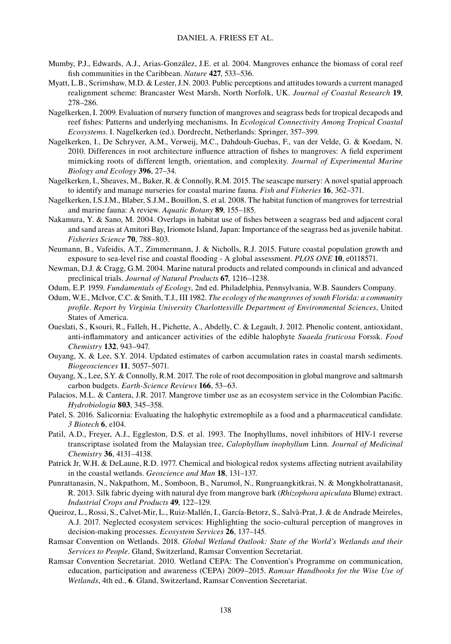- Mumby, P.J., Edwards, A.J., Arias-González, J.E. et al. 2004. Mangroves enhance the biomass of coral reef fish communities in the Caribbean. *Nature* **427**, 533–536.
- Myatt, L.B., Scrimshaw, M.D. & Lester, J.N. 2003. Public perceptions and attitudes towards a current managed realignment scheme: Brancaster West Marsh, North Norfolk, UK. *Journal of Coastal Research* **19**, 278–286.
- Nagelkerken, I. 2009. Evaluation of nursery function of mangroves and seagrass beds for tropical decapods and reef fishes: Patterns and underlying mechanisms. In *Ecological Connectivity Among Tropical Coastal Ecosystems*. I. Nagelkerken (ed.). Dordrecht, Netherlands: Springer, 357–399.
- Nagelkerken, I., De Schryver, A.M., Verweij, M.C., Dahdouh-Guebas, F., van der Velde, G. & Koedam, N. 2010. Differences in root architecture influence attraction of fishes to mangroves: A field experiment mimicking roots of different length, orientation, and complexity. *Journal of Experimental Marine Biology and Ecology* **396**, 27–34.
- Nagelkerken, I., Sheaves, M., Baker, R. & Connolly, R.M. 2015. The seascape nursery: A novel spatial approach to identify and manage nurseries for coastal marine fauna. *Fish and Fisheries* **16**, 362–371.
- Nagelkerken, I.S.J.M., Blaber, S.J.M., Bouillon, S. et al. 2008. The habitat function of mangroves for terrestrial and marine fauna: A review. *Aquatic Botany* **89**, 155–185.
- Nakamura, Y. & Sano, M. 2004. Overlaps in habitat use of fishes between a seagrass bed and adjacent coral and sand areas at Amitori Bay, Iriomote Island, Japan: Importance of the seagrass bed as juvenile habitat. *Fisheries Science* **70**, 788–803.
- Neumann, B., Vafeidis, A.T., Zimmermann, J. & Nicholls, R.J. 2015. Future coastal population growth and exposure to sea-level rise and coastal flooding - A global assessment. *PLOS ONE* **10**, e0118571.
- Newman, D.J. & Cragg, G.M. 2004. Marine natural products and related compounds in clinical and advanced preclinical trials. *Journal of Natural Products* **67**, 1216–1238.
- Odum, E.P. 1959. *Fundamentals of Ecology*, 2nd ed. Philadelphia, Pennsylvania, W.B. Saunders Company.
- Odum, W.E., McIvor, C.C. & Smith, T.J., III 1982. *The ecology of the mangroves of south Florida: a community profile*. *Report by Virginia University Charlottesville Department of Environmental Sciences*, United States of America.
- Oueslati, S., Ksouri, R., Falleh, H., Pichette, A., Abdelly, C. & Legault, J. 2012. Phenolic content, antioxidant, anti-inflammatory and anticancer activities of the edible halophyte *Suaeda fruticosa* Forssk. *Food Chemistry* **132**, 943–947.
- Ouyang, X. & Lee, S.Y. 2014. Updated estimates of carbon accumulation rates in coastal marsh sediments. *Biogeosciences* **11**, 5057–5071.
- Ouyang, X., Lee, S.Y. & Connolly, R.M. 2017. The role of root decomposition in global mangrove and saltmarsh carbon budgets. *Earth-Science Reviews* **166**, 53–63.
- Palacios, M.L. & Cantera, J.R. 2017. Mangrove timber use as an ecosystem service in the Colombian Pacific. *Hydrobiologia* **803**, 345–358.
- Patel, S. 2016. Salicornia: Evaluating the halophytic extremophile as a food and a pharmaceutical candidate. *3 Biotech* **6**, e104.
- Patil, A.D., Freyer, A.J., Eggleston, D.S. et al. 1993. The Inophyllums, novel inhibitors of HIV-1 reverse transcriptase isolated from the Malaysian tree, *Calophyllum inophyllum* Linn. *Journal of Medicinal Chemistry* **36**, 4131–4138.
- Patrick Jr, W.H. & DeLaune, R.D. 1977. Chemical and biological redox systems affecting nutrient availability in the coastal wetlands. *Geoscience and Man* **18**, 131–137.
- Punrattanasin, N., Nakpathom, M., Somboon, B., Narumol, N., Rungruangkitkrai, N. & Mongkholrattanasit, R. 2013. Silk fabric dyeing with natural dye from mangrove bark (*Rhizophora apiculata* Blume) extract. *Industrial Crops and Products* **49**, 122–129.
- Queiroz, L., Rossi, S., Calvet-Mir, L., Ruiz-Mallén, I., García-Betorz, S., Salvà-Prat, J. & de Andrade Meireles, A.J. 2017. Neglected ecosystem services: Highlighting the socio-cultural perception of mangroves in decision-making processes. *Ecosystem Services* **26**, 137–145.
- Ramsar Convention on Wetlands. 2018. *Global Wetland Outlook: State of the World's Wetlands and their Services to People*. Gland, Switzerland, Ramsar Convention Secretariat.
- Ramsar Convention Secretariat. 2010. Wetland CEPA: The Convention's Programme on communication, education, participation and awareness (CEPA) 2009–2015. *Ramsar Handbooks for the Wise Use of Wetlands*, 4th ed., **6**. Gland, Switzerland, Ramsar Convention Secretariat.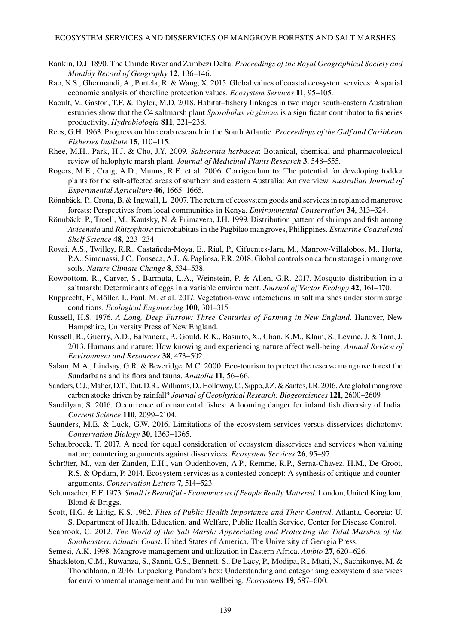- Rankin, D.J. 1890. The Chinde River and Zambezi Delta. *Proceedings of the Royal Geographical Society and Monthly Record of Geography* **12**, 136–146.
- Rao, N.S., Ghermandi, A., Portela, R. & Wang, X. 2015. Global values of coastal ecosystem services: A spatial economic analysis of shoreline protection values. *Ecosystem Services* **11**, 95–105.
- Raoult, V., Gaston, T.F. & Taylor, M.D. 2018. Habitat–fishery linkages in two major south-eastern Australian estuaries show that the C4 saltmarsh plant *Sporobolus virginicus* is a significant contributor to fisheries productivity. *Hydrobiologia* **811**, 221–238.
- Rees, G.H. 1963. Progress on blue crab research in the South Atlantic. *Proceedings of the Gulf and Caribbean Fisheries Institute* **15**, 110–115.
- Rhee, M.H., Park, H.J. & Cho, J.Y. 2009. *Salicornia herbacea*: Botanical, chemical and pharmacological review of halophyte marsh plant. *Journal of Medicinal Plants Research* **3**, 548–555.
- Rogers, M.E., Craig, A.D., Munns, R.E. et al. 2006. Corrigendum to: The potential for developing fodder plants for the salt-affected areas of southern and eastern Australia: An overview. *Australian Journal of Experimental Agriculture* **46**, 1665–1665.
- Rönnbäck, P., Crona, B. & Ingwall, L. 2007. The return of ecosystem goods and services in replanted mangrove forests: Perspectives from local communities in Kenya. *Environmental Conservation* **34**, 313–324.
- Rönnbäck, P., Troell, M., Kautsky, N. & Primavera, J.H. 1999. Distribution pattern of shrimps and fish among *Avicennia* and *Rhizophora* microhabitats in the Pagbilao mangroves, Philippines. *Estuarine Coastal and Shelf Science* **48**, 223–234.
- Rovai, A.S., Twilley, R.R., Castañeda-Moya, E., Riul, P., Cifuentes-Jara, M., Manrow-Villalobos, M., Horta, P.A., Simonassi, J.C., Fonseca, A.L. & Pagliosa, P.R. 2018. Global controls on carbon storage in mangrove soils. *Nature Climate Change* **8**, 534–538.
- Rowbottom, R., Carver, S., Barmuta, L.A., Weinstein, P. & Allen, G.R. 2017. Mosquito distribution in a saltmarsh: Determinants of eggs in a variable environment. *Journal of Vector Ecology* **42**, 161–170.
- Rupprecht, F., Möller, I., Paul, M. et al. 2017. Vegetation-wave interactions in salt marshes under storm surge conditions. *Ecological Engineering* **100**, 301–315.
- Russell, H.S. 1976. *A Long, Deep Furrow: Three Centuries of Farming in New England*. Hanover, New Hampshire, University Press of New England.
- Russell, R., Guerry, A.D., Balvanera, P., Gould, R.K., Basurto, X., Chan, K.M., Klain, S., Levine, J. & Tam, J. 2013. Humans and nature: How knowing and experiencing nature affect well-being. *Annual Review of Environment and Resources* **38**, 473–502.
- Salam, M.A., Lindsay, G.R. & Beveridge, M.C. 2000. Eco-tourism to protect the reserve mangrove forest the Sundarbans and its flora and fauna. *Anatolia* **11**, 56–66.
- Sanders, C.J., Maher, D.T., Tait, D.R., Williams, D., Holloway, C., Sippo, J.Z. & Santos, I.R. 2016. Are global mangrove carbon stocks driven by rainfall? *Journal of Geophysical Research: Biogeosciences* **121**, 2600–2609.
- Sandilyan, S. 2016. Occurrence of ornamental fishes: A looming danger for inland fish diversity of India. *Current Science* **110**, 2099–2104.
- Saunders, M.E. & Luck, G.W. 2016. Limitations of the ecosystem services versus disservices dichotomy. *Conservation Biology* **30**, 1363–1365.
- Schaubroeck, T. 2017. A need for equal consideration of ecosystem disservices and services when valuing nature; countering arguments against disservices. *Ecosystem Services* **26**, 95–97.
- Schröter, M., van der Zanden, E.H., van Oudenhoven, A.P., Remme, R.P., Serna-Chavez, H.M., De Groot, R.S. & Opdam, P. 2014. Ecosystem services as a contested concept: A synthesis of critique and counterarguments. *Conservation Letters* **7**, 514–523.
- Schumacher, E.F. 1973. *Small is Beautiful Economics as if People Really Mattered*. London, United Kingdom, Blond & Briggs.
- Scott, H.G. & Littig, K.S. 1962. *Flies of Public Health Importance and Their Control*. Atlanta, Georgia: U. S. Department of Health, Education, and Welfare, Public Health Service, Center for Disease Control.
- Seabrook, C. 2012. *The World of the Salt Marsh: Appreciating and Protecting the Tidal Marshes of the Southeastern Atlantic Coast*. United States of America, The University of Georgia Press.
- Semesi, A.K. 1998. Mangrove management and utilization in Eastern Africa. *Ambio* **27**, 620–626.
- Shackleton, C.M., Ruwanza, S., Sanni, G.S., Bennett, S., De Lacy, P., Modipa, R., Mtati, N., Sachikonye, M. & Thondhlana, n 2016. Unpacking Pandora's box: Understanding and categorising ecosystem disservices for environmental management and human wellbeing. *Ecosystems* **19**, 587–600.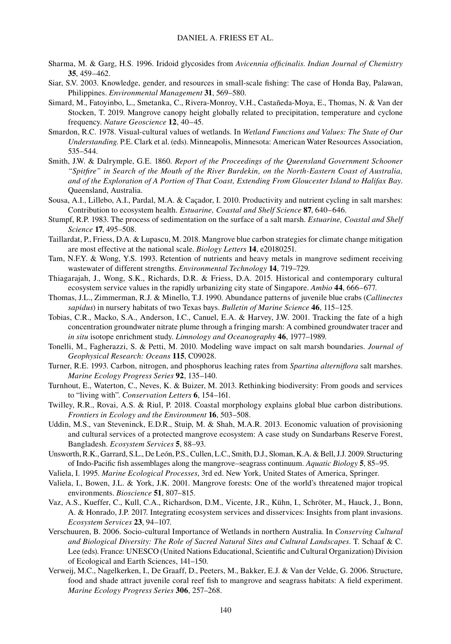- Sharma, M. & Garg, H.S. 1996. Iridoid glycosides from *Avicennia officinalis*. *Indian Journal of Chemistry* **35**, 459–462.
- Siar, S.V. 2003. Knowledge, gender, and resources in small-scale fishing: The case of Honda Bay, Palawan, Philippines. *Environmental Management* **31**, 569–580.
- Simard, M., Fatoyinbo, L., Smetanka, C., Rivera-Monroy, V.H., Castañeda-Moya, E., Thomas, N. & Van der Stocken, T. 2019. Mangrove canopy height globally related to precipitation, temperature and cyclone frequency. *Nature Geoscience* **12**, 40–45.
- Smardon, R.C. 1978. Visual-cultural values of wetlands. In *Wetland Functions and Values: The State of Our Understanding*. P.E. Clark et al. (eds). Minneapolis, Minnesota: American Water Resources Association, 535–544.
- Smith, J.W. & Dalrymple, G.E. 1860. *Report of the Proceedings of the Queensland Government Schooner "Spitfire" in Search of the Mouth of the River Burdekin, on the North-Eastern Coast of Australia, and of the Exploration of A Portion of That Coast, Extending From Gloucester Island to Halifax Bay*. Queensland, Australia.
- Sousa, A.I., Lillebo, A.I., Pardal, M.A. & Caçador, I. 2010. Productivity and nutrient cycling in salt marshes: Contribution to ecosystem health. *Estuarine, Coastal and Shelf Science* **87**, 640–646.
- Stumpf, R.P. 1983. The process of sedimentation on the surface of a salt marsh. *Estuarine, Coastal and Shelf Science* **17**, 495–508.
- Taillardat, P., Friess, D.A. & Lupascu, M. 2018. Mangrove blue carbon strategies for climate change mitigation are most effective at the national scale. *Biology Letters* **14**, e20180251.
- Tam, N.F.Y. & Wong, Y.S. 1993. Retention of nutrients and heavy metals in mangrove sediment receiving wastewater of different strengths. *Environmental Technology* **14**, 719–729.
- Thiagarajah, J., Wong, S.K., Richards, D.R. & Friess, D.A. 2015. Historical and contemporary cultural ecosystem service values in the rapidly urbanizing city state of Singapore. *Ambio* **44**, 666–677.
- Thomas, J.L., Zimmerman, R.J. & Minello, T.J. 1990. Abundance patterns of juvenile blue crabs (*Callinectes sapidus*) in nursery habitats of two Texas bays. *Bulletin of Marine Science* **46**, 115–125.
- Tobias, C.R., Macko, S.A., Anderson, I.C., Canuel, E.A. & Harvey, J.W. 2001. Tracking the fate of a high concentration groundwater nitrate plume through a fringing marsh: A combined groundwater tracer and *in situ* isotope enrichment study. *Limnology and Oceanography* **46**, 1977–1989.
- Tonelli, M., Fagherazzi, S. & Petti, M. 2010. Modeling wave impact on salt marsh boundaries. *Journal of Geophysical Research: Oceans* **115**, C09028.
- Turner, R.E. 1993. Carbon, nitrogen, and phosphorus leaching rates from *Spartina alterniflora* salt marshes. *Marine Ecology Progress Series* **92**, 135–140.
- Turnhout, E., Waterton, C., Neves, K. & Buizer, M. 2013. Rethinking biodiversity: From goods and services to "living with". *Conservation Letters* **6**, 154–161.
- Twilley, R.R., Rovai, A.S. & Riul, P. 2018. Coastal morphology explains global blue carbon distributions. *Frontiers in Ecology and the Environment* **16**, 503–508.
- Uddin, M.S., van Steveninck, E.D.R., Stuip, M. & Shah, M.A.R. 2013. Economic valuation of provisioning and cultural services of a protected mangrove ecosystem: A case study on Sundarbans Reserve Forest, Bangladesh. *Ecosystem Services* **5**, 88–93.
- Unsworth, R.K., Garrard, S.L., De León, P.S., Cullen, L.C., Smith, D.J., Sloman, K.A. & Bell, J.J. 2009. Structuring of Indo-Pacific fish assemblages along the mangrove–seagrass continuum. *Aquatic Biology* **5**, 85–95.
- Valiela, I. 1995. *Marine Ecological Processes*, 3rd ed. New York, United States of America, Springer.
- Valiela, I., Bowen, J.L. & York, J.K. 2001. Mangrove forests: One of the world's threatened major tropical environments. *Bioscience* **51**, 807–815.
- Vaz, A.S., Kueffer, C., Kull, C.A., Richardson, D.M., Vicente, J.R., Kühn, I., Schröter, M., Hauck, J., Bonn, A. & Honrado, J.P. 2017. Integrating ecosystem services and disservices: Insights from plant invasions. *Ecosystem Services* **23**, 94–107.
- Verschuuren, B. 2006. Socio-cultural Importance of Wetlands in northern Australia. In *Conserving Cultural and Biological Diversity: The Role of Sacred Natural Sites and Cultural Landscapes*. T. Schaaf & C. Lee (eds). France: UNESCO (United Nations Educational, Scientific and Cultural Organization) Division of Ecological and Earth Sciences, 141–150.
- Verweij, M.C., Nagelkerken, I., De Graaff, D., Peeters, M., Bakker, E.J. & Van der Velde, G. 2006. Structure, food and shade attract juvenile coral reef fish to mangrove and seagrass habitats: A field experiment. *Marine Ecology Progress Series* **306**, 257–268.